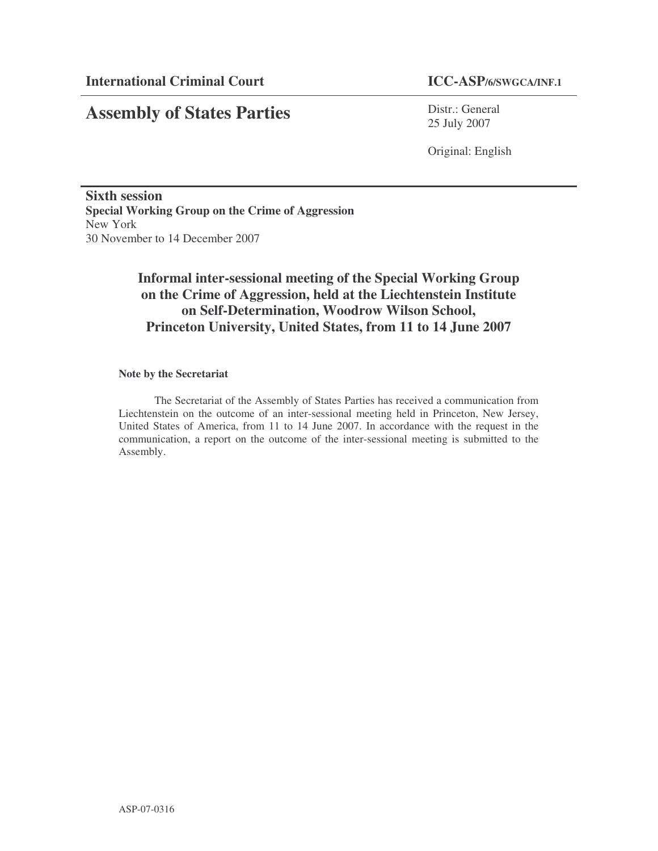# **Assembly of States Parties**

Distr.: General 25 July 2007

Original: English

**Sixth session Special Working Group on the Crime of Aggression** New York 30 November to 14 December 2007

# **Informal inter-sessional meeting of the Special Working Group on the Crime of Aggression, held at the Liechtenstein Institute on Self-Determination, Woodrow Wilson School, Princeton University, United States, from 11 to 14 June 2007**

## **Note by the Secretariat**

The Secretariat of the Assembly of States Parties has received a communication from Liechtenstein on the outcome of an inter-sessional meeting held in Princeton, New Jersey, United States of America, from 11 to 14 June 2007. In accordance with the request in the communication, a report on the outcome of the inter-sessional meeting is submitted to the Assembly.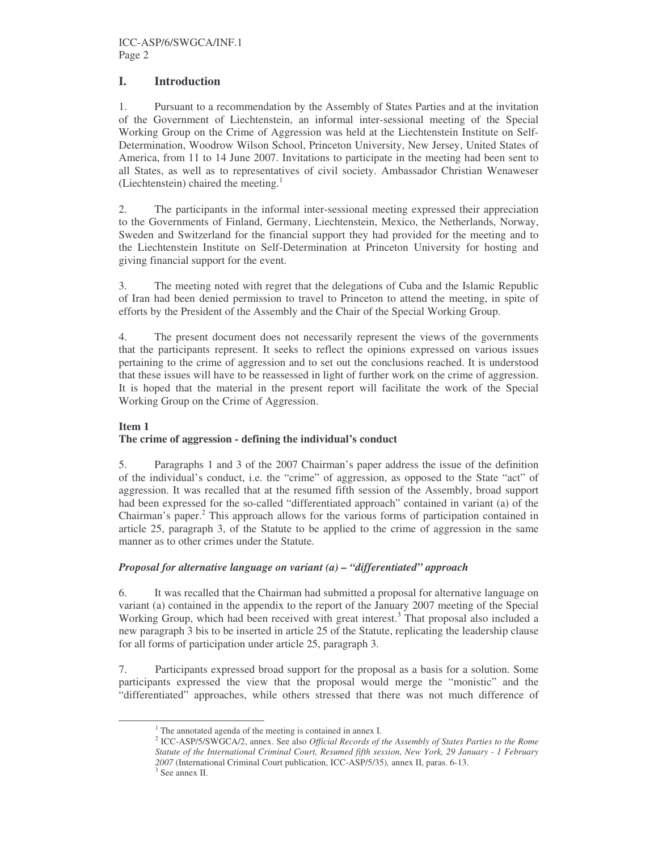## **I. Introduction**

1. Pursuant to a recommendation by the Assembly of States Parties and at the invitation of the Government of Liechtenstein, an informal inter-sessional meeting of the Special Working Group on the Crime of Aggression was held at the Liechtenstein Institute on Self-Determination, Woodrow Wilson School, Princeton University, New Jersey, United States of America, from 11 to 14 June 2007. Invitations to participate in the meeting had been sent to all States, as well as to representatives of civil society. Ambassador Christian Wenaweser (Liechtenstein) chaired the meeting. 1

2. The participants in the informal inter-sessional meeting expressed their appreciation to the Governments of Finland, Germany, Liechtenstein, Mexico, the Netherlands, Norway, Sweden and Switzerland for the financial support they had provided for the meeting and to the Liechtenstein Institute on Self-Determination at Princeton University for hosting and giving financial support for the event.

3. The meeting noted with regret that the delegations of Cuba and the Islamic Republic of Iran had been denied permission to travel to Princeton to attend the meeting, in spite of efforts by the President of the Assembly and the Chair of the Special Working Group.

4. The present document does not necessarily represent the views of the governments that the participants represent. It seeks to reflect the opinions expressed on various issues pertaining to the crime of aggression and to set out the conclusions reached. It is understood that these issues will have to be reassessed in light of further work on the crime of aggression. It is hoped that the material in the present report will facilitate the work of the Special Working Group on the Crime of Aggression.

#### **Item 1**

## **The crime of aggression - defining the individual's conduct**

5. Paragraphs 1 and 3 of the 2007 Chairman's paper address the issue of the definition of the individual's conduct, i.e. the "crime" of aggression, as opposed to the State "act" of aggression. It was recalled that at the resumed fifth session of the Assembly, broad support had been expressed for the so-called "differentiated approach" contained in variant (a) of the Chairman's paper. <sup>2</sup> This approach allows for the various forms of participation contained in article 25, paragraph 3, of the Statute to be applied to the crime of aggression in the same manner as to other crimes under the Statute.

#### *Proposal for alternative language on variant (a) – "differentiated" approach*

6. It was recalled that the Chairman had submitted a proposal for alternative language on variant (a) contained in the appendix to the report of the January 2007 meeting of the Special Working Group, which had been received with great interest. <sup>3</sup> That proposal also included a new paragraph 3 bis to be inserted in article 25 of the Statute, replicating the leadership clause for all forms of participation under article 25, paragraph 3.

7. Participants expressed broad support for the proposal as a basis for a solution. Some participants expressed the view that the proposal would merge the "monistic" and the "differentiated" approaches, while others stressed that there was not much difference of

<sup>&</sup>lt;sup>1</sup> The annotated agenda of the meeting is contained in annex I.

<sup>2</sup> ICC-ASP/5/SWGCA/2, annex. See also *Official Records of the Assembly of States Parties to the Rome Statute of the International Criminal Court, Resumed fifth session, New York, 29 January - 1 February 2007* (International Criminal Court publication, ICC-ASP/5/35)*,* annex II, paras. 6-13.

<sup>3</sup> See annex II.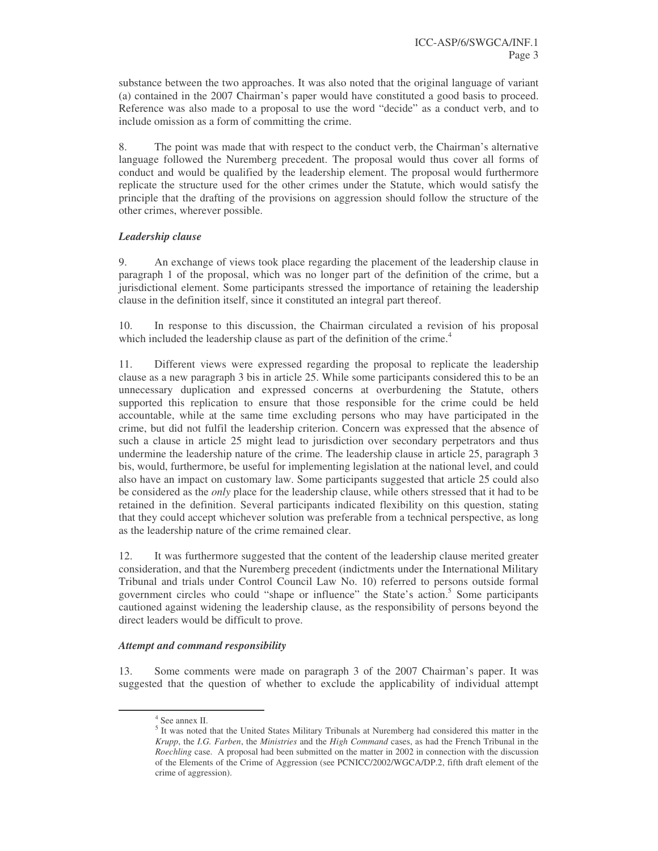substance between the two approaches. It was also noted that the original language of variant (a) contained in the 2007 Chairman's paper would have constituted a good basis to proceed. Reference was also made to a proposal to use the word "decide" as a conduct verb, and to include omission as a form of committing the crime.

8. The point was made that with respect to the conduct verb, the Chairman's alternative language followed the Nuremberg precedent. The proposal would thus cover all forms of conduct and would be qualified by the leadership element. The proposal would furthermore replicate the structure used for the other crimes under the Statute, which would satisfy the principle that the drafting of the provisions on aggression should follow the structure of the other crimes, wherever possible.

## *Leadership clause*

9. An exchange of views took place regarding the placement of the leadership clause in paragraph 1 of the proposal, which was no longer part of the definition of the crime, but a jurisdictional element. Some participants stressed the importance of retaining the leadership clause in the definition itself, since it constituted an integral part thereof.

10. In response to this discussion, the Chairman circulated a revision of his proposal which included the leadership clause as part of the definition of the crime.<sup>4</sup>

11. Different views were expressed regarding the proposal to replicate the leadership clause as a new paragraph 3 bis in article 25. While some participants considered this to be an unnecessary duplication and expressed concerns at overburdening the Statute, others supported this replication to ensure that those responsible for the crime could be held accountable, while at the same time excluding persons who may have participated in the crime, but did not fulfil the leadership criterion. Concern was expressed that the absence of such a clause in article 25 might lead to jurisdiction over secondary perpetrators and thus undermine the leadership nature of the crime. The leadership clause in article 25, paragraph 3 bis, would, furthermore, be useful for implementing legislation at the national level, and could also have an impact on customary law. Some participants suggested that article 25 could also be considered as the *only* place for the leadership clause, while others stressed that it had to be retained in the definition. Several participants indicated flexibility on this question, stating that they could accept whichever solution was preferable from a technical perspective, as long as the leadership nature of the crime remained clear.

12. It was furthermore suggested that the content of the leadership clause merited greater consideration, and that the Nuremberg precedent (indictments under the International Military Tribunal and trials under Control Council Law No. 10) referred to persons outside formal government circles who could "shape or influence" the State's action. 5 Some participants cautioned against widening the leadership clause, as the responsibility of persons beyond the direct leaders would be difficult to prove.

#### *Attempt and command responsibility*

13. Some comments were made on paragraph 3 of the 2007 Chairman's paper. It was suggested that the question of whether to exclude the applicability of individual attempt

<sup>4</sup> See annex II.

<sup>&</sup>lt;sup>5</sup> It was noted that the United States Military Tribunals at Nuremberg had considered this matter in the *Krupp*, the *I.G. Farben*, the *Ministries* and the *High Command* cases, as had the French Tribunal in the *Roechling* case. A proposal had been submitted on the matter in 2002 in connection with the discussion of the Elements of the Crime of Aggression (see PCNICC/2002/WGCA/DP.2, fifth draft element of the crime of aggression).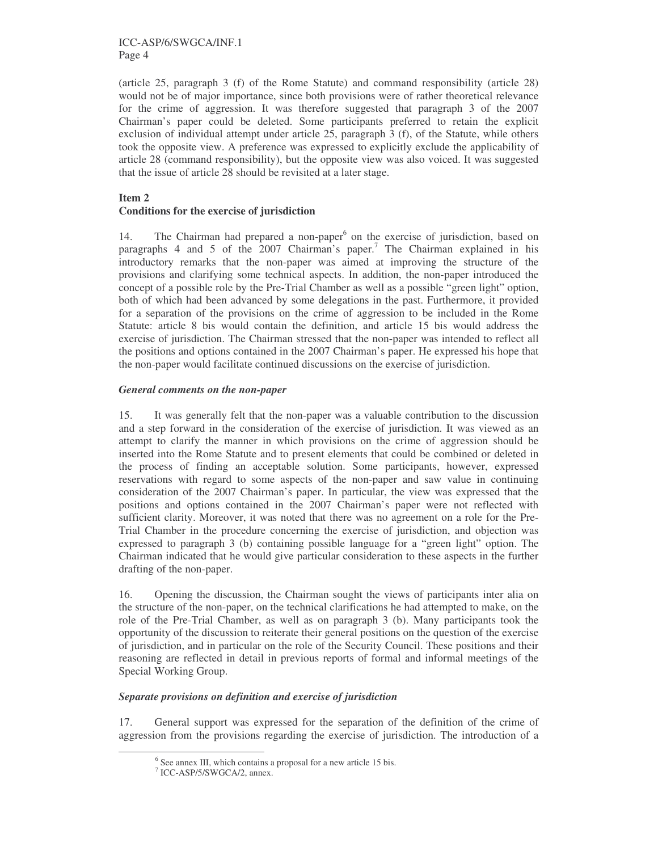(article 25, paragraph 3 (f) of the Rome Statute) and command responsibility (article 28) would not be of major importance, since both provisions were of rather theoretical relevance for the crime of aggression. It was therefore suggested that paragraph 3 of the 2007 Chairman's paper could be deleted. Some participants preferred to retain the explicit exclusion of individual attempt under article 25, paragraph 3 (f), of the Statute, while others took the opposite view. A preference was expressed to explicitly exclude the applicability of article 28 (command responsibility), but the opposite view was also voiced. It was suggested that the issue of article 28 should be revisited at a later stage.

## **Item 2**

## **Conditions for the exercise of jurisdiction**

14. The Chairman had prepared a non-paper<sup>6</sup> on the exercise of jurisdiction, based on paragraphs 4 and 5 of the 2007 Chairman's paper.<sup>7</sup> The Chairman explained in his introductory remarks that the non-paper was aimed at improving the structure of the provisions and clarifying some technical aspects. In addition, the non-paper introduced the concept of a possible role by the Pre-Trial Chamber as well as a possible "green light" option, both of which had been advanced by some delegations in the past. Furthermore, it provided for a separation of the provisions on the crime of aggression to be included in the Rome Statute: article 8 bis would contain the definition, and article 15 bis would address the exercise of jurisdiction. The Chairman stressed that the non-paper was intended to reflect all the positions and options contained in the 2007 Chairman's paper. He expressed his hope that the non-paper would facilitate continued discussions on the exercise of jurisdiction.

#### *General comments on the non-paper*

15. It was generally felt that the non-paper was a valuable contribution to the discussion and a step forward in the consideration of the exercise of jurisdiction. It was viewed as an attempt to clarify the manner in which provisions on the crime of aggression should be inserted into the Rome Statute and to present elements that could be combined or deleted in the process of finding an acceptable solution. Some participants, however, expressed reservations with regard to some aspects of the non-paper and saw value in continuing consideration of the 2007 Chairman's paper. In particular, the view was expressed that the positions and options contained in the 2007 Chairman's paper were not reflected with sufficient clarity. Moreover, it was noted that there was no agreement on a role for the Pre-Trial Chamber in the procedure concerning the exercise of jurisdiction, and objection was expressed to paragraph 3 (b) containing possible language for a "green light" option. The Chairman indicated that he would give particular consideration to these aspects in the further drafting of the non-paper.

16. Opening the discussion, the Chairman sought the views of participants inter alia on the structure of the non-paper, on the technical clarifications he had attempted to make, on the role of the Pre-Trial Chamber, as well as on paragraph 3 (b). Many participants took the opportunity of the discussion to reiterate their general positions on the question of the exercise of jurisdiction, and in particular on the role of the Security Council. These positions and their reasoning are reflected in detail in previous reports of formal and informal meetings of the Special Working Group.

#### *Separate provisions on definition and exercise of jurisdiction*

17. General support was expressed for the separation of the definition of the crime of aggression from the provisions regarding the exercise of jurisdiction. The introduction of a

 $<sup>6</sup>$  See annex III, which contains a proposal for a new article 15 bis.</sup>

<sup>7</sup> ICC-ASP/5/SWGCA/2, annex.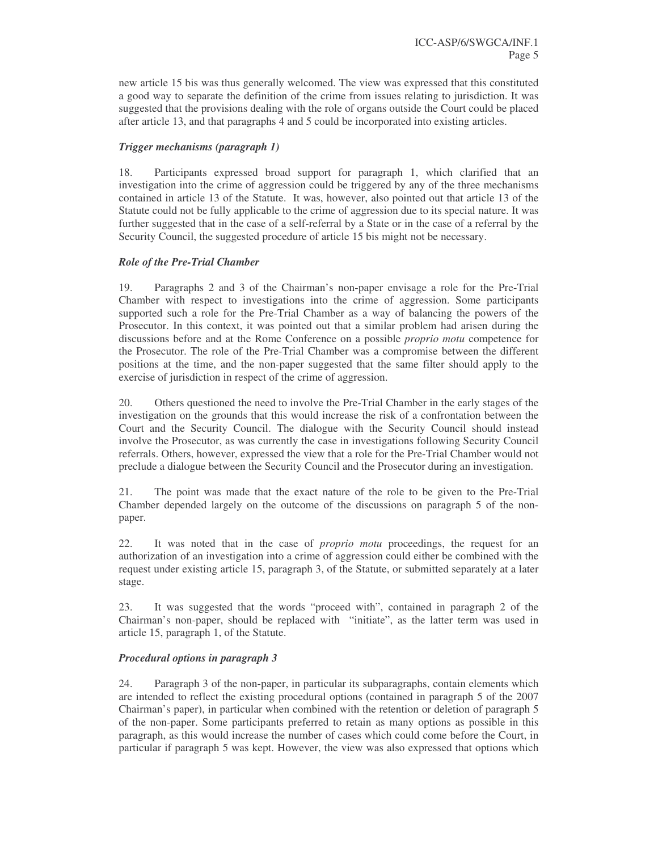new article 15 bis was thus generally welcomed. The view was expressed that this constituted a good way to separate the definition of the crime from issues relating to jurisdiction. It was suggested that the provisions dealing with the role of organs outside the Court could be placed after article 13, and that paragraphs 4 and 5 could be incorporated into existing articles.

#### *Trigger mechanisms (paragraph 1)*

18. Participants expressed broad support for paragraph 1, which clarified that an investigation into the crime of aggression could be triggered by any of the three mechanisms contained in article 13 of the Statute. It was, however, also pointed out that article 13 of the Statute could not be fully applicable to the crime of aggression due to its special nature. It was further suggested that in the case of a self-referral by a State or in the case of a referral by the Security Council, the suggested procedure of article 15 bis might not be necessary.

## *Role of the Pre-Trial Chamber*

19. Paragraphs 2 and 3 of the Chairman's non-paper envisage a role for the Pre-Trial Chamber with respect to investigations into the crime of aggression. Some participants supported such a role for the Pre-Trial Chamber as a way of balancing the powers of the Prosecutor. In this context, it was pointed out that a similar problem had arisen during the discussions before and at the Rome Conference on a possible *proprio motu* competence for the Prosecutor. The role of the Pre-Trial Chamber was a compromise between the different positions at the time, and the non-paper suggested that the same filter should apply to the exercise of jurisdiction in respect of the crime of aggression.

20. Others questioned the need to involve the Pre-Trial Chamber in the early stages of the investigation on the grounds that this would increase the risk of a confrontation between the Court and the Security Council. The dialogue with the Security Council should instead involve the Prosecutor, as was currently the case in investigations following Security Council referrals. Others, however, expressed the view that a role for the Pre-Trial Chamber would not preclude a dialogue between the Security Council and the Prosecutor during an investigation.

21. The point was made that the exact nature of the role to be given to the Pre-Trial Chamber depended largely on the outcome of the discussions on paragraph 5 of the nonpaper.

22. It was noted that in the case of *proprio motu* proceedings, the request for an authorization of an investigation into a crime of aggression could either be combined with the request under existing article 15, paragraph 3, of the Statute, or submitted separately at a later stage.

23. It was suggested that the words "proceed with", contained in paragraph 2 of the Chairman's non-paper, should be replaced with "initiate", as the latter term was used in article 15, paragraph 1, of the Statute.

#### *Procedural options in paragraph 3*

24. Paragraph 3 of the non-paper, in particular its subparagraphs, contain elements which are intended to reflect the existing procedural options (contained in paragraph 5 of the 2007 Chairman's paper), in particular when combined with the retention or deletion of paragraph 5 of the non-paper. Some participants preferred to retain as many options as possible in this paragraph, as this would increase the number of cases which could come before the Court, in particular if paragraph 5 was kept. However, the view was also expressed that options which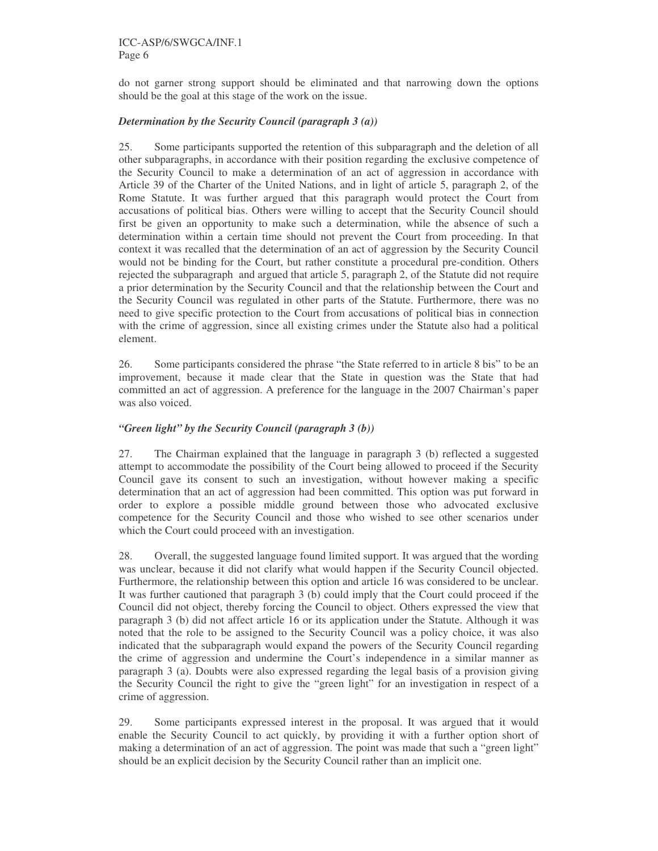do not garner strong support should be eliminated and that narrowing down the options should be the goal at this stage of the work on the issue.

## *Determination by the Security Council (paragraph 3 (a))*

25. Some participants supported the retention of this subparagraph and the deletion of all other subparagraphs, in accordance with their position regarding the exclusive competence of the Security Council to make a determination of an act of aggression in accordance with Article 39 of the Charter of the United Nations, and in light of article 5, paragraph 2, of the Rome Statute. It was further argued that this paragraph would protect the Court from accusations of political bias. Others were willing to accept that the Security Council should first be given an opportunity to make such a determination, while the absence of such a determination within a certain time should not prevent the Court from proceeding. In that context it was recalled that the determination of an act of aggression by the Security Council would not be binding for the Court, but rather constitute a procedural pre-condition. Others rejected the subparagraph and argued that article 5, paragraph 2, of the Statute did not require a prior determination by the Security Council and that the relationship between the Court and the Security Council was regulated in other parts of the Statute. Furthermore, there was no need to give specific protection to the Court from accusations of political bias in connection with the crime of aggression, since all existing crimes under the Statute also had a political element.

26. Some participants considered the phrase "the State referred to in article 8 bis" to be an improvement, because it made clear that the State in question was the State that had committed an act of aggression. A preference for the language in the 2007 Chairman's paper was also voiced.

## *"Green light" by the Security Council (paragraph 3 (b))*

27. The Chairman explained that the language in paragraph 3 (b) reflected a suggested attempt to accommodate the possibility of the Court being allowed to proceed if the Security Council gave its consent to such an investigation, without however making a specific determination that an act of aggression had been committed. This option was put forward in order to explore a possible middle ground between those who advocated exclusive competence for the Security Council and those who wished to see other scenarios under which the Court could proceed with an investigation.

28. Overall, the suggested language found limited support. It was argued that the wording was unclear, because it did not clarify what would happen if the Security Council objected. Furthermore, the relationship between this option and article 16 was considered to be unclear. It was further cautioned that paragraph 3 (b) could imply that the Court could proceed if the Council did not object, thereby forcing the Council to object. Others expressed the view that paragraph 3 (b) did not affect article 16 or its application under the Statute. Although it was noted that the role to be assigned to the Security Council was a policy choice, it was also indicated that the subparagraph would expand the powers of the Security Council regarding the crime of aggression and undermine the Court's independence in a similar manner as paragraph 3 (a). Doubts were also expressed regarding the legal basis of a provision giving the Security Council the right to give the "green light" for an investigation in respect of a crime of aggression.

29. Some participants expressed interest in the proposal. It was argued that it would enable the Security Council to act quickly, by providing it with a further option short of making a determination of an act of aggression. The point was made that such a "green light" should be an explicit decision by the Security Council rather than an implicit one.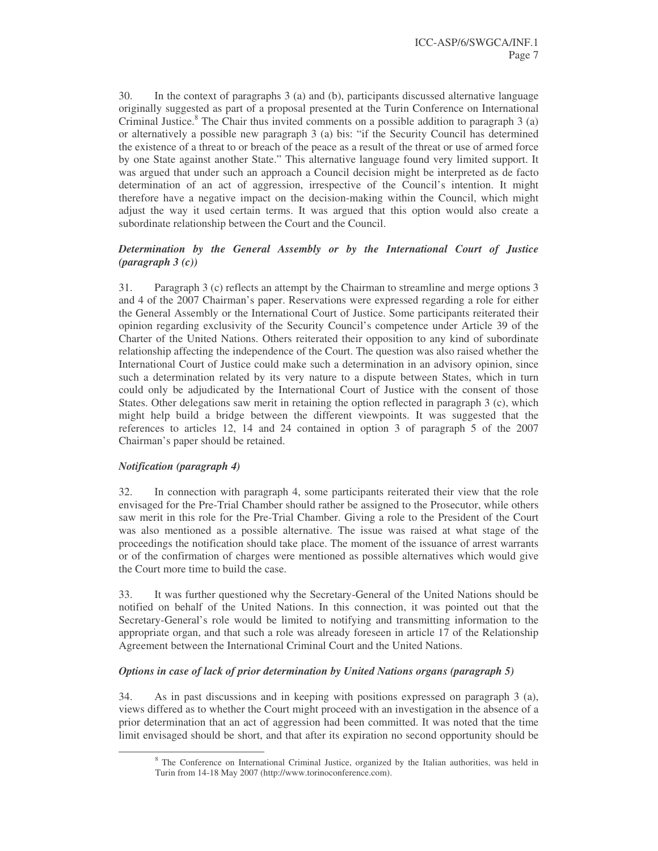30. In the context of paragraphs 3 (a) and (b), participants discussed alternative language originally suggested as part of a proposal presented at the Turin Conference on International Criminal Justice.<sup>8</sup> The Chair thus invited comments on a possible addition to paragraph 3 (a) or alternatively a possible new paragraph 3 (a) bis: "if the Security Council has determined the existence of a threat to or breach of the peace as a result of the threat or use of armed force by one State against another State." This alternative language found very limited support. It was argued that under such an approach a Council decision might be interpreted as de facto determination of an act of aggression, irrespective of the Council's intention. It might therefore have a negative impact on the decision-making within the Council, which might adjust the way it used certain terms. It was argued that this option would also create a subordinate relationship between the Court and the Council.

## *Determination by the General Assembly or by the International Court of Justice (paragraph 3 (c))*

31. Paragraph 3 (c) reflects an attempt by the Chairman to streamline and merge options 3 and 4 of the 2007 Chairman's paper. Reservations were expressed regarding a role for either the General Assembly or the International Court of Justice. Some participants reiterated their opinion regarding exclusivity of the Security Council's competence under Article 39 of the Charter of the United Nations. Others reiterated their opposition to any kind of subordinate relationship affecting the independence of the Court. The question was also raised whether the International Court of Justice could make such a determination in an advisory opinion, since such a determination related by its very nature to a dispute between States, which in turn could only be adjudicated by the International Court of Justice with the consent of those States. Other delegations saw merit in retaining the option reflected in paragraph 3 (c), which might help build a bridge between the different viewpoints. It was suggested that the references to articles 12, 14 and 24 contained in option 3 of paragraph 5 of the 2007 Chairman's paper should be retained.

#### *Notification (paragraph 4)*

32. In connection with paragraph 4, some participants reiterated their view that the role envisaged for the Pre-Trial Chamber should rather be assigned to the Prosecutor, while others saw merit in this role for the Pre-Trial Chamber. Giving a role to the President of the Court was also mentioned as a possible alternative. The issue was raised at what stage of the proceedings the notification should take place. The moment of the issuance of arrest warrants or of the confirmation of charges were mentioned as possible alternatives which would give the Court more time to build the case.

33. It was further questioned why the Secretary-General of the United Nations should be notified on behalf of the United Nations. In this connection, it was pointed out that the Secretary-General's role would be limited to notifying and transmitting information to the appropriate organ, and that such a role was already foreseen in article 17 of the Relationship Agreement between the International Criminal Court and the United Nations.

## *Options in case of lack of prior determination by United Nations organs (paragraph 5)*

34. As in past discussions and in keeping with positions expressed on paragraph 3 (a), views differed as to whether the Court might proceed with an investigation in the absence of a prior determination that an act of aggression had been committed. It was noted that the time limit envisaged should be short, and that after its expiration no second opportunity should be

<sup>&</sup>lt;sup>8</sup> The Conference on International Criminal Justice, organized by the Italian authorities, was held in Turin from 14-18 May 2007 (http://www.torinoconference.com).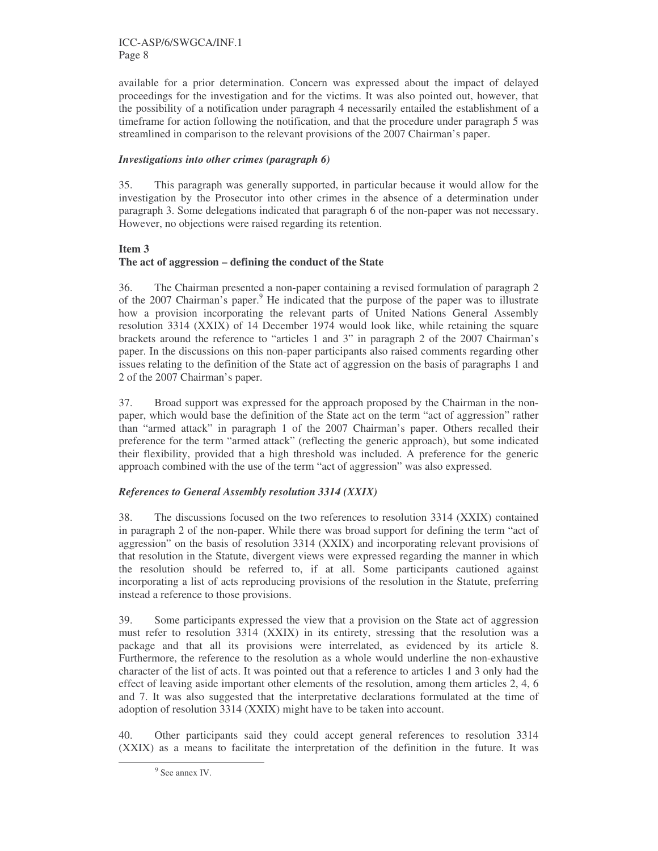available for a prior determination. Concern was expressed about the impact of delayed proceedings for the investigation and for the victims. It was also pointed out, however, that the possibility of a notification under paragraph 4 necessarily entailed the establishment of a timeframe for action following the notification, and that the procedure under paragraph 5 was streamlined in comparison to the relevant provisions of the 2007 Chairman's paper.

#### *Investigations into other crimes (paragraph 6)*

35. This paragraph was generally supported, in particular because it would allow for the investigation by the Prosecutor into other crimes in the absence of a determination under paragraph 3. Some delegations indicated that paragraph 6 of the non-paper was not necessary. However, no objections were raised regarding its retention.

## **Item 3**

## **The act of aggression – defining the conduct of the State**

36. The Chairman presented a non-paper containing a revised formulation of paragraph 2 of the 2007 Chairman's paper.<sup>9</sup> He indicated that the purpose of the paper was to illustrate how a provision incorporating the relevant parts of United Nations General Assembly resolution 3314 (XXIX) of 14 December 1974 would look like, while retaining the square brackets around the reference to "articles 1 and 3" in paragraph 2 of the 2007 Chairman's paper. In the discussions on this non-paper participants also raised comments regarding other issues relating to the definition of the State act of aggression on the basis of paragraphs 1 and 2 of the 2007 Chairman's paper.

37. Broad support was expressed for the approach proposed by the Chairman in the nonpaper, which would base the definition of the State act on the term "act of aggression" rather than "armed attack" in paragraph 1 of the 2007 Chairman's paper. Others recalled their preference for the term "armed attack" (reflecting the generic approach), but some indicated their flexibility, provided that a high threshold was included. A preference for the generic approach combined with the use of the term "act of aggression" was also expressed.

## *References to General Assembly resolution 3314 (XXIX)*

38. The discussions focused on the two references to resolution 3314 (XXIX) contained in paragraph 2 of the non-paper. While there was broad support for defining the term "act of aggression" on the basis of resolution 3314 (XXIX) and incorporating relevant provisions of that resolution in the Statute, divergent views were expressed regarding the manner in which the resolution should be referred to, if at all. Some participants cautioned against incorporating a list of acts reproducing provisions of the resolution in the Statute, preferring instead a reference to those provisions.

39. Some participants expressed the view that a provision on the State act of aggression must refer to resolution 3314 (XXIX) in its entirety, stressing that the resolution was a package and that all its provisions were interrelated, as evidenced by its article 8. Furthermore, the reference to the resolution as a whole would underline the non-exhaustive character of the list of acts. It was pointed out that a reference to articles 1 and 3 only had the effect of leaving aside important other elements of the resolution, among them articles 2, 4, 6 and 7. It was also suggested that the interpretative declarations formulated at the time of adoption of resolution 3314 (XXIX) might have to be taken into account.

40. Other participants said they could accept general references to resolution 3314 (XXIX) as a means to facilitate the interpretation of the definition in the future. It was

<sup>9</sup> See annex IV.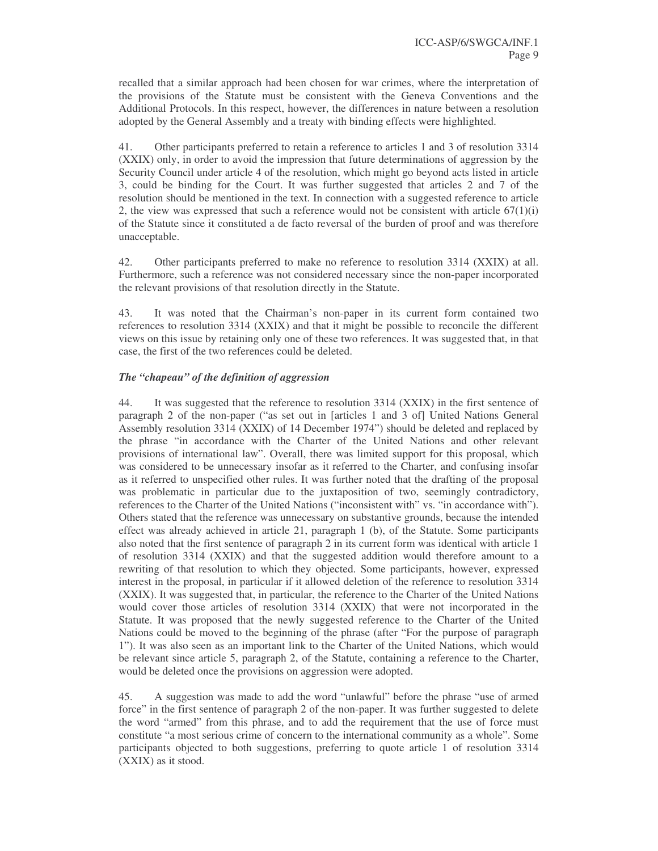recalled that a similar approach had been chosen for war crimes, where the interpretation of the provisions of the Statute must be consistent with the Geneva Conventions and the Additional Protocols. In this respect, however, the differences in nature between a resolution adopted by the General Assembly and a treaty with binding effects were highlighted.

41. Other participants preferred to retain a reference to articles 1 and 3 of resolution 3314 (XXIX) only, in order to avoid the impression that future determinations of aggression by the Security Council under article 4 of the resolution, which might go beyond acts listed in article 3, could be binding for the Court. It was further suggested that articles 2 and 7 of the resolution should be mentioned in the text. In connection with a suggested reference to article 2, the view was expressed that such a reference would not be consistent with article  $67(1)(i)$ of the Statute since it constituted a de facto reversal of the burden of proof and was therefore unacceptable.

42. Other participants preferred to make no reference to resolution 3314 (XXIX) at all. Furthermore, such a reference was not considered necessary since the non-paper incorporated the relevant provisions of that resolution directly in the Statute.

43. It was noted that the Chairman's non-paper in its current form contained two references to resolution 3314 (XXIX) and that it might be possible to reconcile the different views on this issue by retaining only one of these two references. It was suggested that, in that case, the first of the two references could be deleted.

#### *The "chapeau" of the definition of aggression*

44. It was suggested that the reference to resolution 3314 (XXIX) in the first sentence of paragraph 2 of the non-paper ("as set out in [articles 1 and 3 of] United Nations General Assembly resolution 3314 (XXIX) of 14 December 1974") should be deleted and replaced by the phrase "in accordance with the Charter of the United Nations and other relevant provisions of international law". Overall, there was limited support for this proposal, which was considered to be unnecessary insofar as it referred to the Charter, and confusing insofar as it referred to unspecified other rules. It was further noted that the drafting of the proposal was problematic in particular due to the juxtaposition of two, seemingly contradictory, references to the Charter of the United Nations ("inconsistent with" vs. "in accordance with"). Others stated that the reference was unnecessary on substantive grounds, because the intended effect was already achieved in article 21, paragraph 1 (b), of the Statute. Some participants also noted that the first sentence of paragraph 2 in its current form was identical with article 1 of resolution 3314 (XXIX) and that the suggested addition would therefore amount to a rewriting of that resolution to which they objected. Some participants, however, expressed interest in the proposal, in particular if it allowed deletion of the reference to resolution 3314 (XXIX). It was suggested that, in particular, the reference to the Charter of the United Nations would cover those articles of resolution 3314 (XXIX) that were not incorporated in the Statute. It was proposed that the newly suggested reference to the Charter of the United Nations could be moved to the beginning of the phrase (after "For the purpose of paragraph 1"). It was also seen as an important link to the Charter of the United Nations, which would be relevant since article 5, paragraph 2, of the Statute, containing a reference to the Charter, would be deleted once the provisions on aggression were adopted.

45. A suggestion was made to add the word "unlawful" before the phrase "use of armed force" in the first sentence of paragraph 2 of the non-paper. It was further suggested to delete the word "armed" from this phrase, and to add the requirement that the use of force must constitute "a most serious crime of concern to the international community as a whole". Some participants objected to both suggestions, preferring to quote article 1 of resolution 3314 (XXIX) as it stood.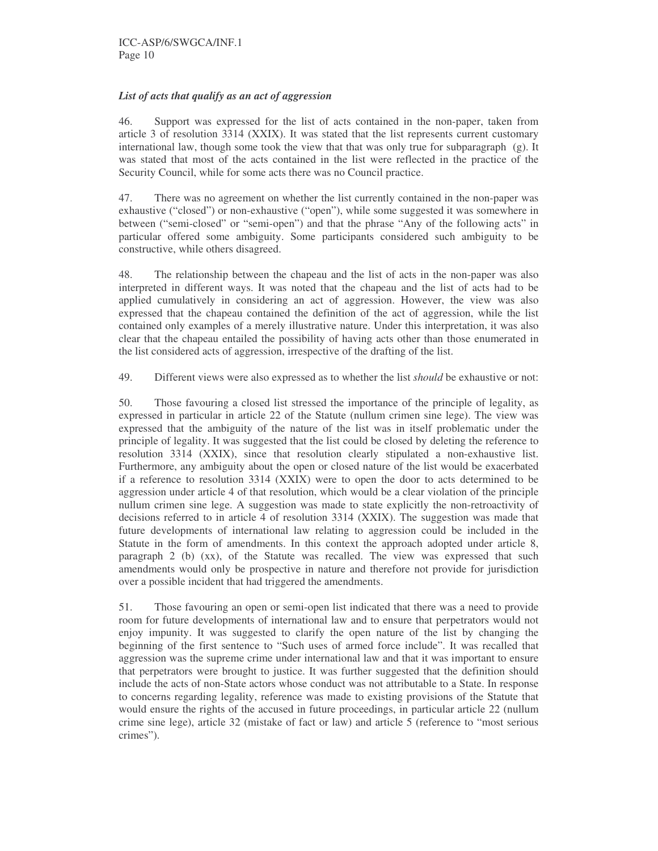#### *List of acts that qualify as an act of aggression*

46. Support was expressed for the list of acts contained in the non-paper, taken from article 3 of resolution 3314 (XXIX). It was stated that the list represents current customary international law, though some took the view that that was only true for subparagraph (g). It was stated that most of the acts contained in the list were reflected in the practice of the Security Council, while for some acts there was no Council practice.

47. There was no agreement on whether the list currently contained in the non-paper was exhaustive ("closed") or non-exhaustive ("open"), while some suggested it was somewhere in between ("semi-closed" or "semi-open") and that the phrase "Any of the following acts" in particular offered some ambiguity. Some participants considered such ambiguity to be constructive, while others disagreed.

48. The relationship between the chapeau and the list of acts in the non-paper was also interpreted in different ways. It was noted that the chapeau and the list of acts had to be applied cumulatively in considering an act of aggression. However, the view was also expressed that the chapeau contained the definition of the act of aggression, while the list contained only examples of a merely illustrative nature. Under this interpretation, it was also clear that the chapeau entailed the possibility of having acts other than those enumerated in the list considered acts of aggression, irrespective of the drafting of the list.

49. Different views were also expressed as to whether the list *should* be exhaustive or not:

50. Those favouring a closed list stressed the importance of the principle of legality, as expressed in particular in article 22 of the Statute (nullum crimen sine lege). The view was expressed that the ambiguity of the nature of the list was in itself problematic under the principle of legality. It was suggested that the list could be closed by deleting the reference to resolution 3314 (XXIX), since that resolution clearly stipulated a non-exhaustive list. Furthermore, any ambiguity about the open or closed nature of the list would be exacerbated if a reference to resolution 3314 (XXIX) were to open the door to acts determined to be aggression under article 4 of that resolution, which would be a clear violation of the principle nullum crimen sine lege. A suggestion was made to state explicitly the non-retroactivity of decisions referred to in article 4 of resolution 3314 (XXIX). The suggestion was made that future developments of international law relating to aggression could be included in the Statute in the form of amendments. In this context the approach adopted under article 8, paragraph 2 (b) (xx), of the Statute was recalled. The view was expressed that such amendments would only be prospective in nature and therefore not provide for jurisdiction over a possible incident that had triggered the amendments.

51. Those favouring an open or semi-open list indicated that there was a need to provide room for future developments of international law and to ensure that perpetrators would not enjoy impunity. It was suggested to clarify the open nature of the list by changing the beginning of the first sentence to "Such uses of armed force include". It was recalled that aggression was the supreme crime under international law and that it was important to ensure that perpetrators were brought to justice. It was further suggested that the definition should include the acts of non-State actors whose conduct was not attributable to a State. In response to concerns regarding legality, reference was made to existing provisions of the Statute that would ensure the rights of the accused in future proceedings, in particular article 22 (nullum crime sine lege), article 32 (mistake of fact or law) and article 5 (reference to "most serious crimes").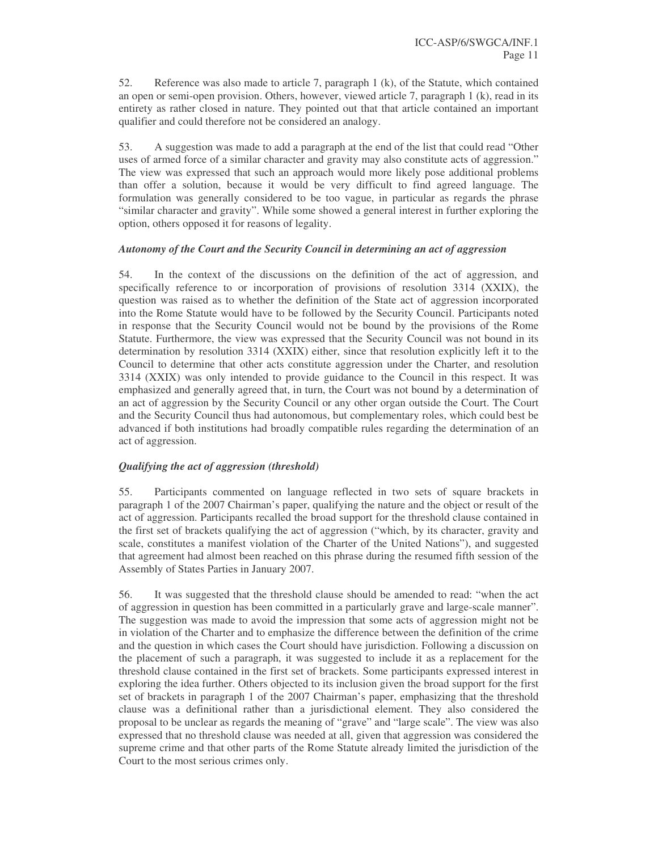52. Reference was also made to article 7, paragraph 1 (k), of the Statute, which contained an open or semi-open provision. Others, however, viewed article 7, paragraph 1 (k), read in its entirety as rather closed in nature. They pointed out that that article contained an important qualifier and could therefore not be considered an analogy.

53. A suggestion was made to add a paragraph at the end of the list that could read "Other uses of armed force of a similar character and gravity may also constitute acts of aggression." The view was expressed that such an approach would more likely pose additional problems than offer a solution, because it would be very difficult to find agreed language. The formulation was generally considered to be too vague, in particular as regards the phrase "similar character and gravity". While some showed a general interest in further exploring the option, others opposed it for reasons of legality.

#### *Autonomy of the Court and the Security Council in determining an act of aggression*

54. In the context of the discussions on the definition of the act of aggression, and specifically reference to or incorporation of provisions of resolution 3314 (XXIX), the question was raised as to whether the definition of the State act of aggression incorporated into the Rome Statute would have to be followed by the Security Council. Participants noted in response that the Security Council would not be bound by the provisions of the Rome Statute. Furthermore, the view was expressed that the Security Council was not bound in its determination by resolution 3314 (XXIX) either, since that resolution explicitly left it to the Council to determine that other acts constitute aggression under the Charter, and resolution 3314 (XXIX) was only intended to provide guidance to the Council in this respect. It was emphasized and generally agreed that, in turn, the Court was not bound by a determination of an act of aggression by the Security Council or any other organ outside the Court. The Court and the Security Council thus had autonomous, but complementary roles, which could best be advanced if both institutions had broadly compatible rules regarding the determination of an act of aggression.

#### *Qualifying the act of aggression (threshold)*

55. Participants commented on language reflected in two sets of square brackets in paragraph 1 of the 2007 Chairman's paper, qualifying the nature and the object or result of the act of aggression. Participants recalled the broad support for the threshold clause contained in the first set of brackets qualifying the act of aggression ("which, by its character, gravity and scale, constitutes a manifest violation of the Charter of the United Nations"), and suggested that agreement had almost been reached on this phrase during the resumed fifth session of the Assembly of States Parties in January 2007.

56. It was suggested that the threshold clause should be amended to read: "when the act of aggression in question has been committed in a particularly grave and large-scale manner". The suggestion was made to avoid the impression that some acts of aggression might not be in violation of the Charter and to emphasize the difference between the definition of the crime and the question in which cases the Court should have jurisdiction. Following a discussion on the placement of such a paragraph, it was suggested to include it as a replacement for the threshold clause contained in the first set of brackets. Some participants expressed interest in exploring the idea further. Others objected to its inclusion given the broad support for the first set of brackets in paragraph 1 of the 2007 Chairman's paper, emphasizing that the threshold clause was a definitional rather than a jurisdictional element. They also considered the proposal to be unclear as regards the meaning of "grave" and "large scale". The view was also expressed that no threshold clause was needed at all, given that aggression was considered the supreme crime and that other parts of the Rome Statute already limited the jurisdiction of the Court to the most serious crimes only.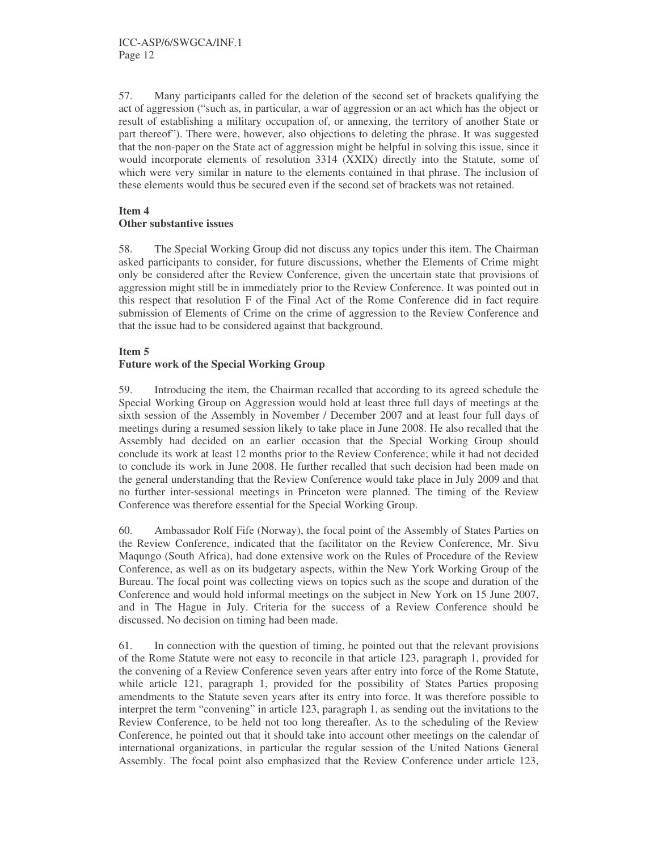57. Many participants called for the deletion of the second set of brackets qualifying the act of aggression ("such as, in particular, a war of aggression or an act which has the object or result of establishing a military occupation of, or annexing, the territory of another State or part thereof"). There were, however, also objections to deleting the phrase. It was suggested that the non-paper on the State act of aggression might be helpful in solving this issue, since it would incorporate elements of resolution 3314 (XXIX) directly into the Statute, some of which were very similar in nature to the elements contained in that phrase. The inclusion of these elements would thus be secured even if the second set of brackets was not retained.

## **Item 4**

#### **Other substantive issues**

58. The Special Working Group did not discuss any topics under this item. The Chairman asked participants to consider, for future discussions, whether the Elements of Crime might only be considered after the Review Conference, given the uncertain state that provisions of aggression might still be in immediately prior to the Review Conference. It was pointed out in this respect that resolution F of the Final Act of the Rome Conference did in fact require submission of Elements of Crime on the crime of aggression to the Review Conference and that the issue had to be considered against that background.

#### **Item 5**

## **Future work of the Special Working Group**

59. Introducing the item, the Chairman recalled that according to its agreed schedule the Special Working Group on Aggression would hold at least three full days of meetings at the sixth session of the Assembly in November / December 2007 and at least four full days of meetings during a resumed session likely to take place in June 2008. He also recalled that the Assembly had decided on an earlier occasion that the Special Working Group should conclude its work at least 12 months prior to the Review Conference; while it had not decided to conclude its work in June 2008. He further recalled that such decision had been made on the general understanding that the Review Conference would take place in July 2009 and that no further inter-sessional meetings in Princeton were planned. The timing of the Review Conference was therefore essential for the Special Working Group.

60. Ambassador Rolf Fife (Norway), the focal point of the Assembly of States Parties on the Review Conference, indicated that the facilitator on the Review Conference, Mr. Sivu Maqungo (South Africa), had done extensive work on the Rules of Procedure of the Review Conference, as well as on its budgetary aspects, within the New York Working Group of the Bureau. The focal point was collecting views on topics such as the scope and duration of the Conference and would hold informal meetings on the subject in New York on 15 June 2007, and in The Hague in July. Criteria for the success of a Review Conference should be discussed. No decision on timing had been made.

61. In connection with the question of timing, he pointed out that the relevant provisions of the Rome Statute were not easy to reconcile in that article 123, paragraph 1, provided for the convening of a Review Conference seven years after entry into force of the Rome Statute, while article 121, paragraph 1, provided for the possibility of States Parties proposing amendments to the Statute seven years after its entry into force. It was therefore possible to interpret the term "convening" in article 123, paragraph 1, as sending out the invitations to the Review Conference, to be held not too long thereafter. As to the scheduling of the Review Conference, he pointed out that it should take into account other meetings on the calendar of international organizations, in particular the regular session of the United Nations General Assembly. The focal point also emphasized that the Review Conference under article 123,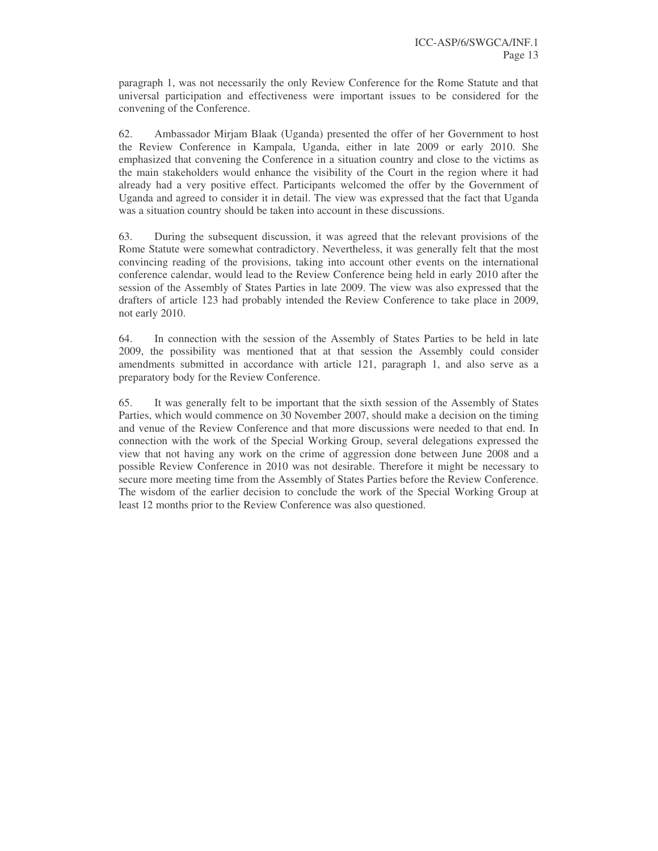paragraph 1, was not necessarily the only Review Conference for the Rome Statute and that universal participation and effectiveness were important issues to be considered for the convening of the Conference.

62. Ambassador Mirjam Blaak (Uganda) presented the offer of her Government to host the Review Conference in Kampala, Uganda, either in late 2009 or early 2010. She emphasized that convening the Conference in a situation country and close to the victims as the main stakeholders would enhance the visibility of the Court in the region where it had already had a very positive effect. Participants welcomed the offer by the Government of Uganda and agreed to consider it in detail. The view was expressed that the fact that Uganda was a situation country should be taken into account in these discussions.

63. During the subsequent discussion, it was agreed that the relevant provisions of the Rome Statute were somewhat contradictory. Nevertheless, it was generally felt that the most convincing reading of the provisions, taking into account other events on the international conference calendar, would lead to the Review Conference being held in early 2010 after the session of the Assembly of States Parties in late 2009. The view was also expressed that the drafters of article 123 had probably intended the Review Conference to take place in 2009, not early 2010.

64. In connection with the session of the Assembly of States Parties to be held in late 2009, the possibility was mentioned that at that session the Assembly could consider amendments submitted in accordance with article 121, paragraph 1, and also serve as a preparatory body for the Review Conference.

65. It was generally felt to be important that the sixth session of the Assembly of States Parties, which would commence on 30 November 2007, should make a decision on the timing and venue of the Review Conference and that more discussions were needed to that end. In connection with the work of the Special Working Group, several delegations expressed the view that not having any work on the crime of aggression done between June 2008 and a possible Review Conference in 2010 was not desirable. Therefore it might be necessary to secure more meeting time from the Assembly of States Parties before the Review Conference. The wisdom of the earlier decision to conclude the work of the Special Working Group at least 12 months prior to the Review Conference was also questioned.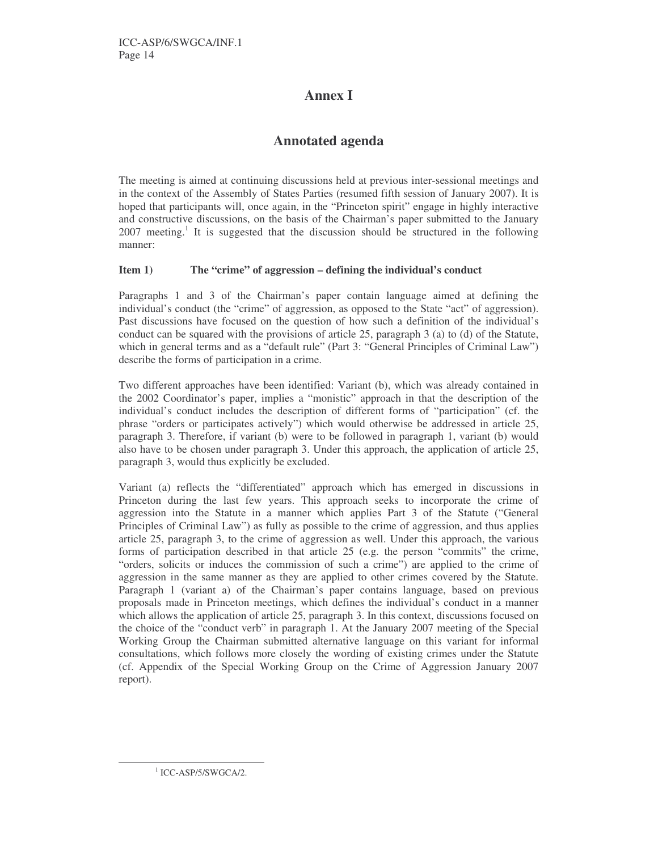# **Annex I**

# **Annotated agenda**

The meeting is aimed at continuing discussions held at previous inter-sessional meetings and in the context of the Assembly of States Parties (resumed fifth session of January 2007). It is hoped that participants will, once again, in the "Princeton spirit" engage in highly interactive and constructive discussions, on the basis of the Chairman's paper submitted to the January 2007 meeting. 1 It is suggested that the discussion should be structured in the following manner:

## **Item 1) The "crime" of aggression – defining the individual's conduct**

Paragraphs 1 and 3 of the Chairman's paper contain language aimed at defining the individual's conduct (the "crime" of aggression, as opposed to the State "act" of aggression). Past discussions have focused on the question of how such a definition of the individual's conduct can be squared with the provisions of article 25, paragraph 3 (a) to (d) of the Statute, which in general terms and as a "default rule" (Part 3: "General Principles of Criminal Law") describe the forms of participation in a crime.

Two different approaches have been identified: Variant (b), which was already contained in the 2002 Coordinator's paper, implies a "monistic" approach in that the description of the individual's conduct includes the description of different forms of "participation" (cf. the phrase "orders or participates actively") which would otherwise be addressed in article 25, paragraph 3. Therefore, if variant (b) were to be followed in paragraph 1, variant (b) would also have to be chosen under paragraph 3. Under this approach, the application of article 25, paragraph 3, would thus explicitly be excluded.

Variant (a) reflects the "differentiated" approach which has emerged in discussions in Princeton during the last few years. This approach seeks to incorporate the crime of aggression into the Statute in a manner which applies Part 3 of the Statute ("General Principles of Criminal Law") as fully as possible to the crime of aggression, and thus applies article 25, paragraph 3, to the crime of aggression as well. Under this approach, the various forms of participation described in that article 25 (e.g. the person "commits" the crime, "orders, solicits or induces the commission of such a crime") are applied to the crime of aggression in the same manner as they are applied to other crimes covered by the Statute. Paragraph 1 (variant a) of the Chairman's paper contains language, based on previous proposals made in Princeton meetings, which defines the individual's conduct in a manner which allows the application of article 25, paragraph 3. In this context, discussions focused on the choice of the "conduct verb" in paragraph 1. At the January 2007 meeting of the Special Working Group the Chairman submitted alternative language on this variant for informal consultations, which follows more closely the wording of existing crimes under the Statute (cf. Appendix of the Special Working Group on the Crime of Aggression January 2007 report).

<sup>&</sup>lt;sup>1</sup> ICC-ASP/5/SWGCA/2.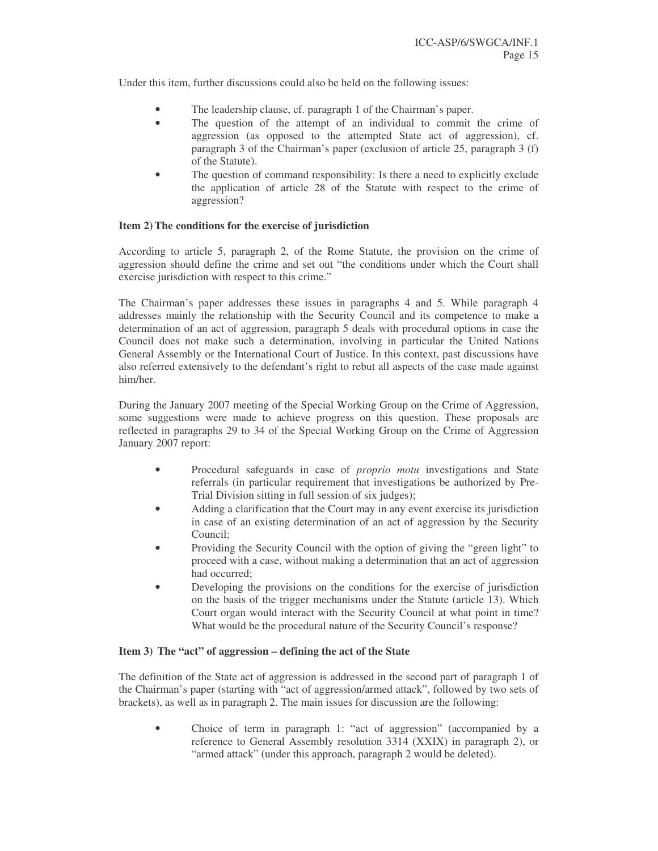Under this item, further discussions could also be held on the following issues:

- The leadership clause, cf. paragraph 1 of the Chairman's paper.
- The question of the attempt of an individual to commit the crime of aggression (as opposed to the attempted State act of aggression), cf. paragraph 3 of the Chairman's paper (exclusion of article 25, paragraph 3 (f) of the Statute).
- The question of command responsibility: Is there a need to explicitly exclude the application of article 28 of the Statute with respect to the crime of aggression?

#### **Item 2)The conditions for the exercise of jurisdiction**

According to article 5, paragraph 2, of the Rome Statute, the provision on the crime of aggression should define the crime and set out "the conditions under which the Court shall exercise jurisdiction with respect to this crime."

The Chairman's paper addresses these issues in paragraphs 4 and 5. While paragraph 4 addresses mainly the relationship with the Security Council and its competence to make a determination of an act of aggression, paragraph 5 deals with procedural options in case the Council does not make such a determination, involving in particular the United Nations General Assembly or the International Court of Justice. In this context, past discussions have also referred extensively to the defendant's right to rebut all aspects of the case made against him/her.

During the January 2007 meeting of the Special Working Group on the Crime of Aggression, some suggestions were made to achieve progress on this question. These proposals are reflected in paragraphs 29 to 34 of the Special Working Group on the Crime of Aggression January 2007 report:

- Procedural safeguards in case of *proprio motu* investigations and State referrals (in particular requirement that investigations be authorized by Pre-Trial Division sitting in full session of six judges);
- Adding a clarification that the Court may in any event exercise its jurisdiction in case of an existing determination of an act of aggression by the Security Council;
- Providing the Security Council with the option of giving the "green light" to proceed with a case, without making a determination that an act of aggression had occurred;
- Developing the provisions on the conditions for the exercise of jurisdiction on the basis of the trigger mechanisms under the Statute (article 13). Which Court organ would interact with the Security Council at what point in time? What would be the procedural nature of the Security Council's response?

#### **Item 3) The "act" of aggression – defining the act of the State**

The definition of the State act of aggression is addressed in the second part of paragraph 1 of the Chairman's paper (starting with "act of aggression/armed attack", followed by two sets of brackets), as well as in paragraph 2. The main issues for discussion are the following:

• Choice of term in paragraph 1: "act of aggression" (accompanied by a reference to General Assembly resolution 3314 (XXIX) in paragraph 2), or "armed attack" (under this approach, paragraph 2 would be deleted).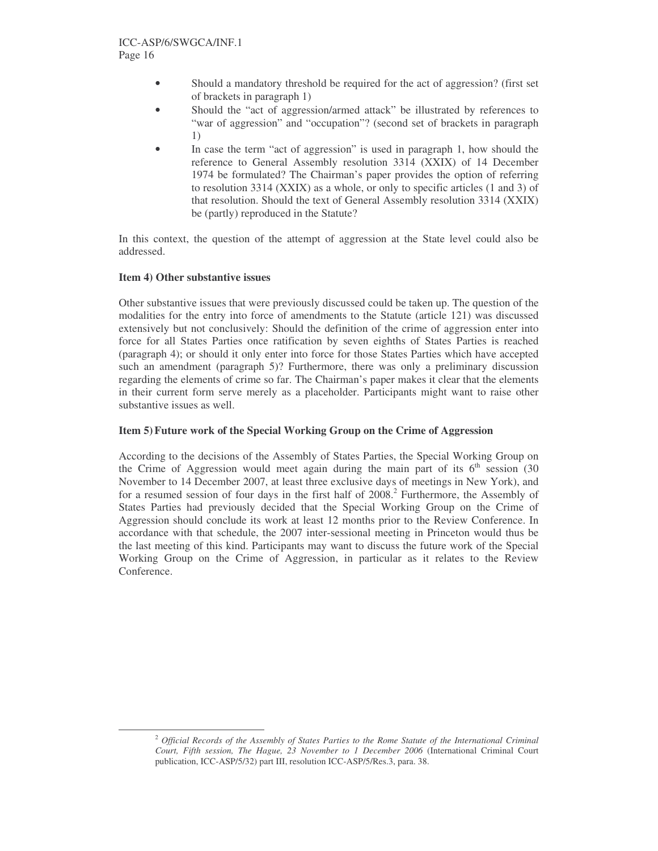- Should a mandatory threshold be required for the act of aggression? (first set of brackets in paragraph 1)
- Should the "act of aggression/armed attack" be illustrated by references to "war of aggression" and "occupation"? (second set of brackets in paragraph 1)
- In case the term "act of aggression" is used in paragraph 1, how should the reference to General Assembly resolution 3314 (XXIX) of 14 December 1974 be formulated? The Chairman's paper provides the option of referring to resolution 3314 (XXIX) as a whole, or only to specific articles (1 and 3) of that resolution. Should the text of General Assembly resolution 3314 (XXIX) be (partly) reproduced in the Statute?

In this context, the question of the attempt of aggression at the State level could also be addressed.

#### **Item 4) Other substantive issues**

Other substantive issues that were previously discussed could be taken up. The question of the modalities for the entry into force of amendments to the Statute (article 121) was discussed extensively but not conclusively: Should the definition of the crime of aggression enter into force for all States Parties once ratification by seven eighths of States Parties is reached (paragraph 4); or should it only enter into force for those States Parties which have accepted such an amendment (paragraph 5)? Furthermore, there was only a preliminary discussion regarding the elements of crime so far. The Chairman's paper makes it clear that the elements in their current form serve merely as a placeholder. Participants might want to raise other substantive issues as well.

#### **Item 5)Future work of the Special Working Group on the Crime of Aggression**

According to the decisions of the Assembly of States Parties, the Special Working Group on the Crime of Aggression would meet again during the main part of its  $6<sup>th</sup>$  session (30) November to 14 December 2007, at least three exclusive days of meetings in New York), and for a resumed session of four days in the first half of 2008. 2 Furthermore, the Assembly of States Parties had previously decided that the Special Working Group on the Crime of Aggression should conclude its work at least 12 months prior to the Review Conference. In accordance with that schedule, the 2007 inter-sessional meeting in Princeton would thus be the last meeting of this kind. Participants may want to discuss the future work of the Special Working Group on the Crime of Aggression, in particular as it relates to the Review Conference.

<sup>2</sup> *Official Records of the Assembly of States Parties to the Rome Statute of the International Criminal Court, Fifth session, The Hague, 23 November to 1 December 2006* (International Criminal Court publication, ICC-ASP/5/32) part III, resolution ICC-ASP/5/Res.3, para. 38.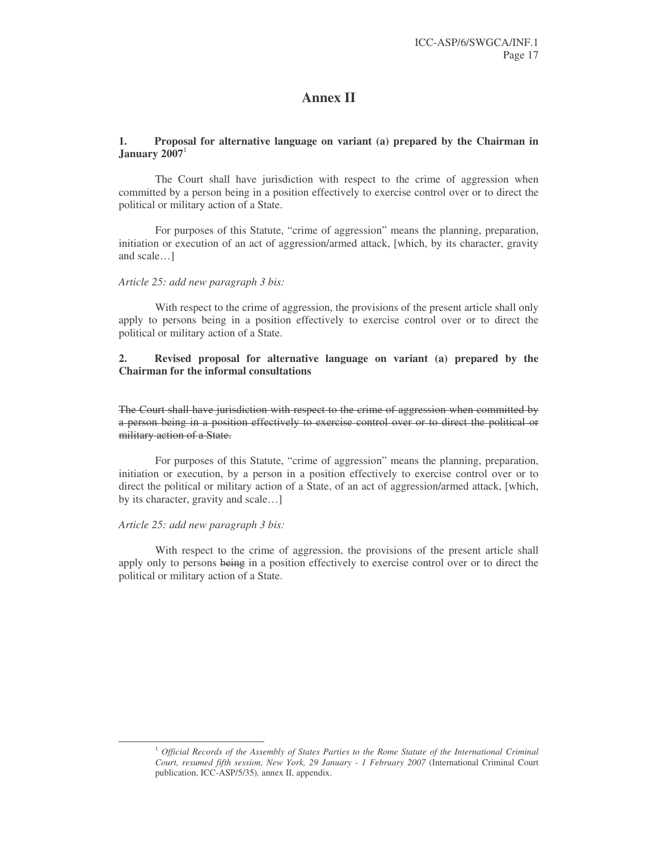## **Annex II**

#### **1. Proposal for alternative language on variant (a) prepared by the Chairman in January 2007** 1

The Court shall have jurisdiction with respect to the crime of aggression when committed by a person being in a position effectively to exercise control over or to direct the political or military action of a State.

For purposes of this Statute, "crime of aggression" means the planning, preparation, initiation or execution of an act of aggression/armed attack, [which, by its character, gravity and scale…]

#### *Article 25: add new paragraph 3 bis:*

With respect to the crime of aggression, the provisions of the present article shall only apply to persons being in a position effectively to exercise control over or to direct the political or military action of a State.

**2. Revised proposal for alternative language on variant (a) prepared by the Chairman for the informal consultations**

The Court shall have jurisdiction with respect to the crime of aggression when committed by a person being in a position effectively to exercise control over or to direct the political or military action of a State.

For purposes of this Statute, "crime of aggression" means the planning, preparation, initiation or execution, by a person in a position effectively to exercise control over or to direct the political or military action of a State, of an act of aggression/armed attack, [which, by its character, gravity and scale…]

#### *Article 25: add new paragraph 3 bis:*

With respect to the crime of aggression, the provisions of the present article shall apply only to persons being in a position effectively to exercise control over or to direct the political or military action of a State.

<sup>1</sup> *Official Records of the Assembly of States Parties to the Rome Statute of the International Criminal Court, resumed fifth session, New York, 29 January - 1 February 2007* (International Criminal Court publication, ICC-ASP/5/35)*,* annex II, appendix.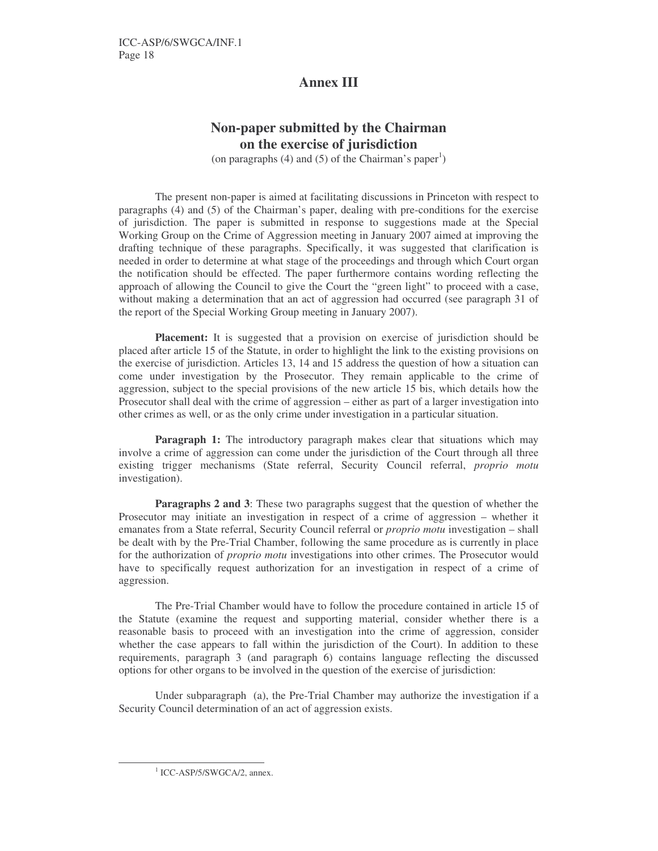## **Annex III**

## **Non-paper submitted by the Chairman on the exercise of jurisdiction**

(on paragraphs (4) and (5) of the Chairman's paper<sup>1</sup>)

The present non-paper is aimed at facilitating discussions in Princeton with respect to paragraphs (4) and (5) of the Chairman's paper, dealing with pre-conditions for the exercise of jurisdiction. The paper is submitted in response to suggestions made at the Special Working Group on the Crime of Aggression meeting in January 2007 aimed at improving the drafting technique of these paragraphs. Specifically, it was suggested that clarification is needed in order to determine at what stage of the proceedings and through which Court organ the notification should be effected. The paper furthermore contains wording reflecting the approach of allowing the Council to give the Court the "green light" to proceed with a case, without making a determination that an act of aggression had occurred (see paragraph 31 of the report of the Special Working Group meeting in January 2007).

**Placement:** It is suggested that a provision on exercise of jurisdiction should be placed after article 15 of the Statute, in order to highlight the link to the existing provisions on the exercise of jurisdiction. Articles 13, 14 and 15 address the question of how a situation can come under investigation by the Prosecutor. They remain applicable to the crime of aggression, subject to the special provisions of the new article 15 bis, which details how the Prosecutor shall deal with the crime of aggression – either as part of a larger investigation into other crimes as well, or as the only crime under investigation in a particular situation.

**Paragraph 1:** The introductory paragraph makes clear that situations which may involve a crime of aggression can come under the jurisdiction of the Court through all three existing trigger mechanisms (State referral, Security Council referral, *proprio motu* investigation).

**Paragraphs 2 and 3**: These two paragraphs suggest that the question of whether the Prosecutor may initiate an investigation in respect of a crime of aggression – whether it emanates from a State referral, Security Council referral or *proprio motu* investigation – shall be dealt with by the Pre-Trial Chamber, following the same procedure as is currently in place for the authorization of *proprio motu* investigations into other crimes. The Prosecutor would have to specifically request authorization for an investigation in respect of a crime of aggression.

The Pre-Trial Chamber would have to follow the procedure contained in article 15 of the Statute (examine the request and supporting material, consider whether there is a reasonable basis to proceed with an investigation into the crime of aggression, consider whether the case appears to fall within the jurisdiction of the Court). In addition to these requirements, paragraph 3 (and paragraph 6) contains language reflecting the discussed options for other organs to be involved in the question of the exercise of jurisdiction:

Under subparagraph (a), the Pre-Trial Chamber may authorize the investigation if a Security Council determination of an act of aggression exists.

<sup>&</sup>lt;sup>1</sup> ICC-ASP/5/SWGCA/2, annex.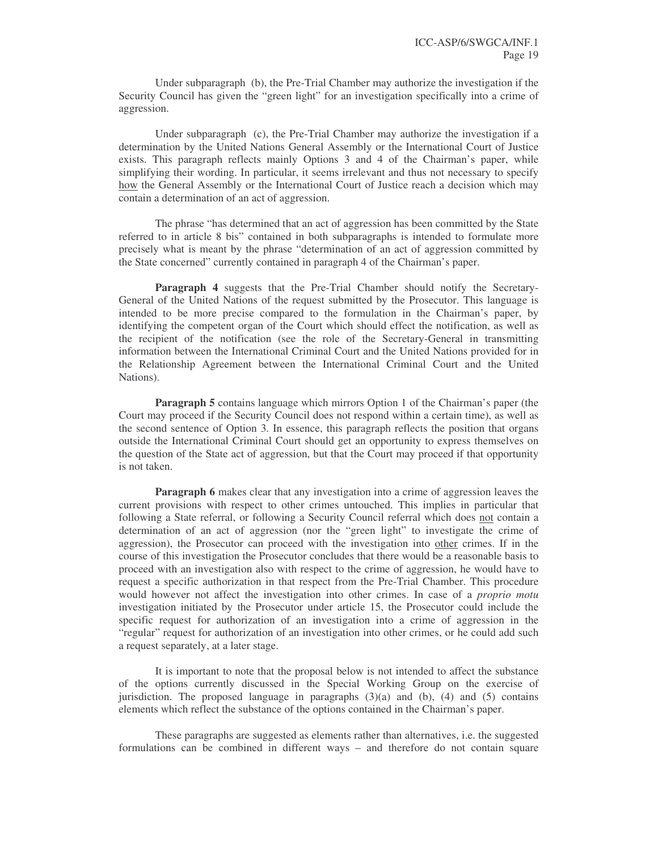Under subparagraph (b), the Pre-Trial Chamber may authorize the investigation if the Security Council has given the "green light" for an investigation specifically into a crime of aggression.

Under subparagraph (c), the Pre-Trial Chamber may authorize the investigation if a determination by the United Nations General Assembly or the International Court of Justice exists. This paragraph reflects mainly Options 3 and 4 of the Chairman's paper, while simplifying their wording. In particular, it seems irrelevant and thus not necessary to specify how the General Assembly or the International Court of Justice reach a decision which may contain a determination of an act of aggression.

The phrase "has determined that an act of aggression has been committed by the State referred to in article 8 bis" contained in both subparagraphs is intended to formulate more precisely what is meant by the phrase "determination of an act of aggression committed by the State concerned" currently contained in paragraph 4 of the Chairman's paper.

**Paragraph 4** suggests that the Pre-Trial Chamber should notify the Secretary-General of the United Nations of the request submitted by the Prosecutor. This language is intended to be more precise compared to the formulation in the Chairman's paper, by identifying the competent organ of the Court which should effect the notification, as well as the recipient of the notification (see the role of the Secretary-General in transmitting information between the International Criminal Court and the United Nations provided for in the Relationship Agreement between the International Criminal Court and the United Nations).

**Paragraph 5** contains language which mirrors Option 1 of the Chairman's paper (the Court may proceed if the Security Council does not respond within a certain time), as well as the second sentence of Option 3. In essence, this paragraph reflects the position that organs outside the International Criminal Court should get an opportunity to express themselves on the question of the State act of aggression, but that the Court may proceed if that opportunity is not taken.

**Paragraph** 6 makes clear that any investigation into a crime of aggression leaves the current provisions with respect to other crimes untouched. This implies in particular that following a State referral, or following a Security Council referral which does not contain a determination of an act of aggression (nor the "green light" to investigate the crime of aggression), the Prosecutor can proceed with the investigation into other crimes. If in the course of this investigation the Prosecutor concludes that there would be a reasonable basis to proceed with an investigation also with respect to the crime of aggression, he would have to request a specific authorization in that respect from the Pre-Trial Chamber. This procedure would however not affect the investigation into other crimes. In case of a *proprio motu* investigation initiated by the Prosecutor under article 15, the Prosecutor could include the specific request for authorization of an investigation into a crime of aggression in the "regular" request for authorization of an investigation into other crimes, or he could add such a request separately, at a later stage.

It is important to note that the proposal below is not intended to affect the substance of the options currently discussed in the Special Working Group on the exercise of jurisdiction. The proposed language in paragraphs (3)(a) and (b), (4) and (5) contains elements which reflect the substance of the options contained in the Chairman's paper.

These paragraphs are suggested as elements rather than alternatives, i.e. the suggested formulations can be combined in different ways – and therefore do not contain square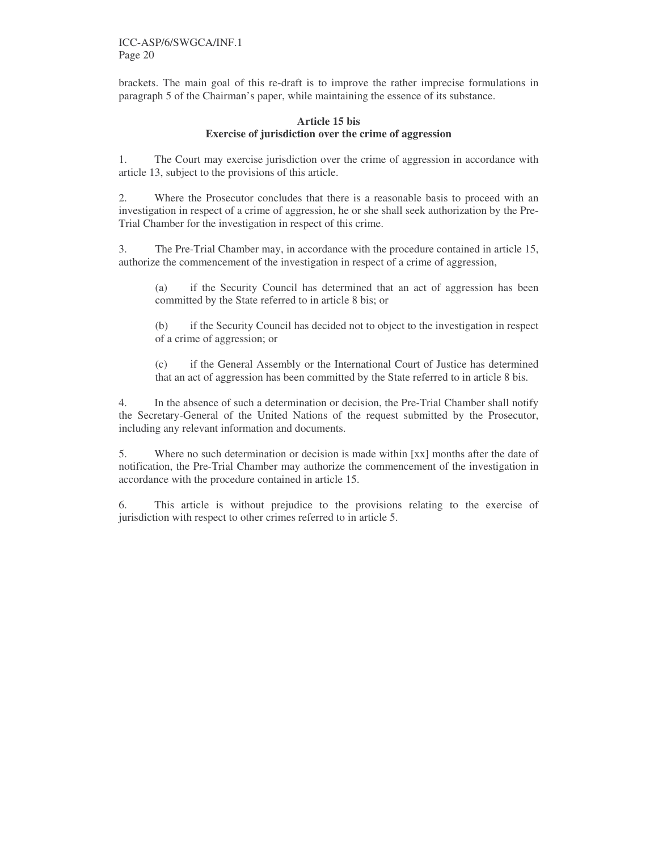brackets. The main goal of this re-draft is to improve the rather imprecise formulations in paragraph 5 of the Chairman's paper, while maintaining the essence of its substance.

#### **Article 15 bis Exercise of jurisdiction over the crime of aggression**

1. The Court may exercise jurisdiction over the crime of aggression in accordance with article 13, subject to the provisions of this article.

2. Where the Prosecutor concludes that there is a reasonable basis to proceed with an investigation in respect of a crime of aggression, he or she shall seek authorization by the Pre-Trial Chamber for the investigation in respect of this crime.

3. The Pre-Trial Chamber may, in accordance with the procedure contained in article 15, authorize the commencement of the investigation in respect of a crime of aggression,

(a) if the Security Council has determined that an act of aggression has been committed by the State referred to in article 8 bis; or

(b) if the Security Council has decided not to object to the investigation in respect of a crime of aggression; or

(c) if the General Assembly or the International Court of Justice has determined that an act of aggression has been committed by the State referred to in article 8 bis.

4. In the absence of such a determination or decision, the Pre-Trial Chamber shall notify the Secretary-General of the United Nations of the request submitted by the Prosecutor, including any relevant information and documents.

5. Where no such determination or decision is made within [xx] months after the date of notification, the Pre-Trial Chamber may authorize the commencement of the investigation in accordance with the procedure contained in article 15.

6. This article is without prejudice to the provisions relating to the exercise of jurisdiction with respect to other crimes referred to in article 5.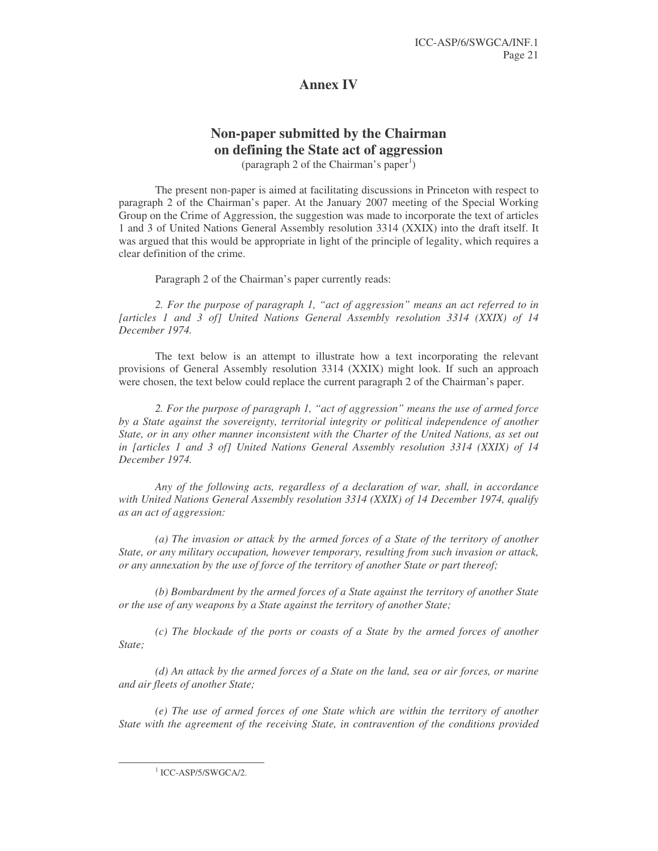## **Annex IV**

# **Non-paper submitted by the Chairman on defining the State act of aggression**

(paragraph 2 of the Chairman's paper 1 )

The present non-paper is aimed at facilitating discussions in Princeton with respect to paragraph 2 of the Chairman's paper. At the January 2007 meeting of the Special Working Group on the Crime of Aggression, the suggestion was made to incorporate the text of articles 1 and 3 of United Nations General Assembly resolution 3314 (XXIX) into the draft itself. It was argued that this would be appropriate in light of the principle of legality, which requires a clear definition of the crime.

Paragraph 2 of the Chairman's paper currently reads:

*2. For the purpose of paragraph 1, "act of aggression" means an act referred to in [articles 1 and 3 of] United Nations General Assembly resolution 3314 (XXIX) of 14 December 1974.*

The text below is an attempt to illustrate how a text incorporating the relevant provisions of General Assembly resolution 3314 (XXIX) might look. If such an approach were chosen, the text below could replace the current paragraph 2 of the Chairman's paper.

*2. For the purpose of paragraph 1, "act of aggression" means the use of armed force by a State against the sovereignty, territorial integrity or political independence of another State, or in any other manner inconsistent with the Charter of the United Nations, as set out in [articles 1 and 3 of] United Nations General Assembly resolution 3314 (XXIX) of 14 December 1974.*

*Any of the following acts, regardless of a declaration of war, shall, in accordance with United Nations General Assembly resolution 3314 (XXIX) of 14 December 1974, qualify as an act of aggression:*

*(a) The invasion or attack by the armed forces of a State of the territory of another State, or any military occupation, however temporary, resulting from such invasion or attack, or any annexation by the use of force of the territory of another State or part thereof;*

*(b) Bombardment by the armed forces of a State against the territory of another State or the use of any weapons by a State against the territory of another State;*

*(c) The blockade of the ports or coasts of a State by the armed forces of another State;*

*(d) An attack by the armed forces of a State on the land, sea or air forces, or marine and air fleets of another State;*

*(e) The use of armed forces of one State which are within the territory of another State with the agreement of the receiving State, in contravention of the conditions provided*

<sup>&</sup>lt;sup>1</sup> ICC-ASP/5/SWGCA/2.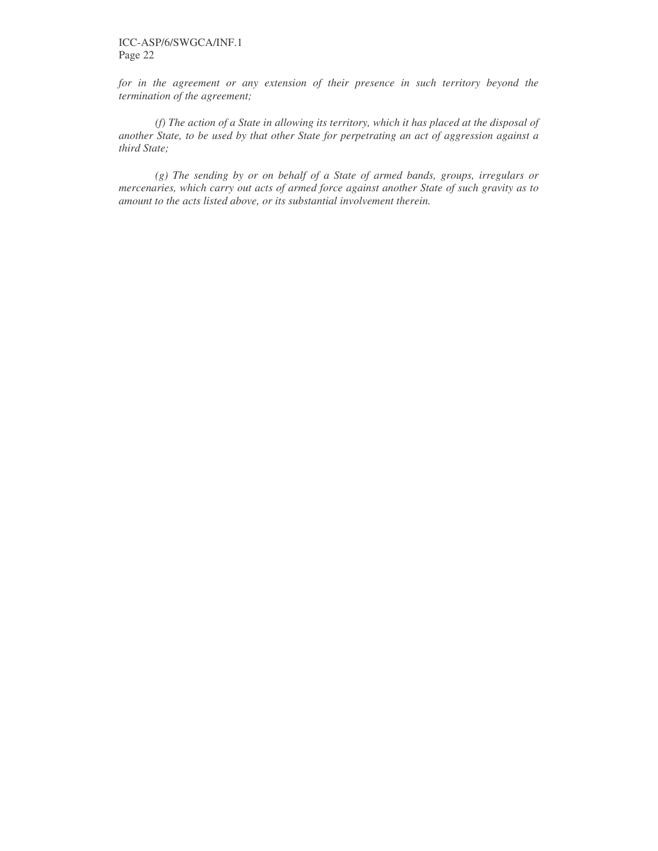*for in the agreement or any extension of their presence in such territory beyond the termination of the agreement;*

*(f) The action of a State in allowing its territory, which it has placed at the disposal of another State, to be used by that other State for perpetrating an act of aggression against a third State;*

*(g) The sending by or on behalf of a State of armed bands, groups, irregulars or mercenaries, which carry out acts of armed force against another State of such gravity as to amount to the acts listed above, or its substantial involvement therein.*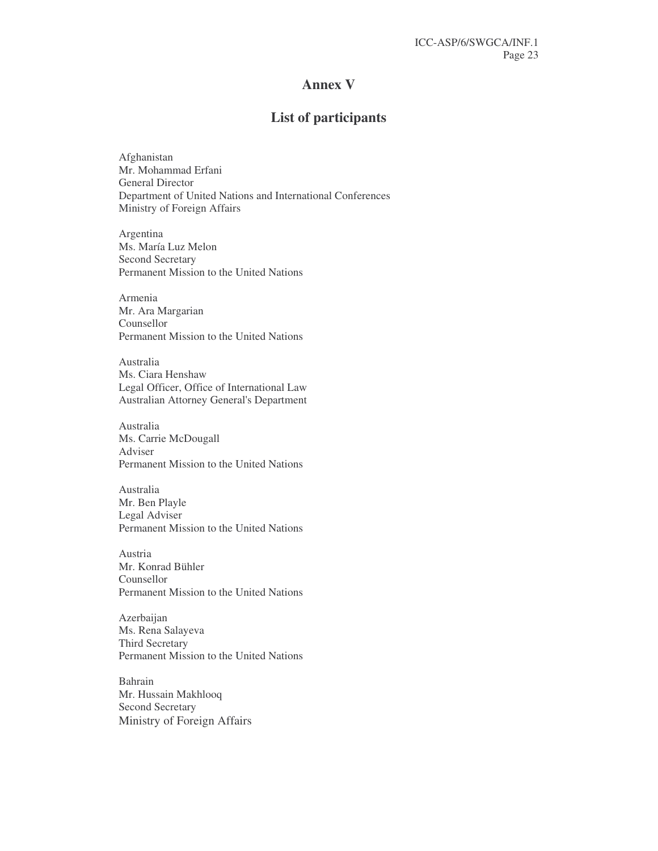## **Annex V**

## **List of participants**

Afghanistan Mr. Mohammad Erfani General Director Department of United Nations and International Conferences Ministry of Foreign Affairs

Argentina Ms. María Luz Melon Second Secretary Permanent Mission to the United Nations

Armenia Mr. Ara Margarian Counsellor Permanent Mission to the United Nations

Australia Ms. Ciara Henshaw Legal Officer, Office of International Law Australian Attorney General's Department

Australia Ms. Carrie McDougall Adviser Permanent Mission to the United Nations

Australia Mr. Ben Playle Legal Adviser Permanent Mission to the United Nations

Austria Mr. Konrad Bühler Counsellor Permanent Mission to the United Nations

Azerbaijan Ms. Rena Salayeva Third Secretary Permanent Mission to the United Nations

Bahrain Mr. Hussain Makhlooq Second Secretary Ministry of Foreign Affairs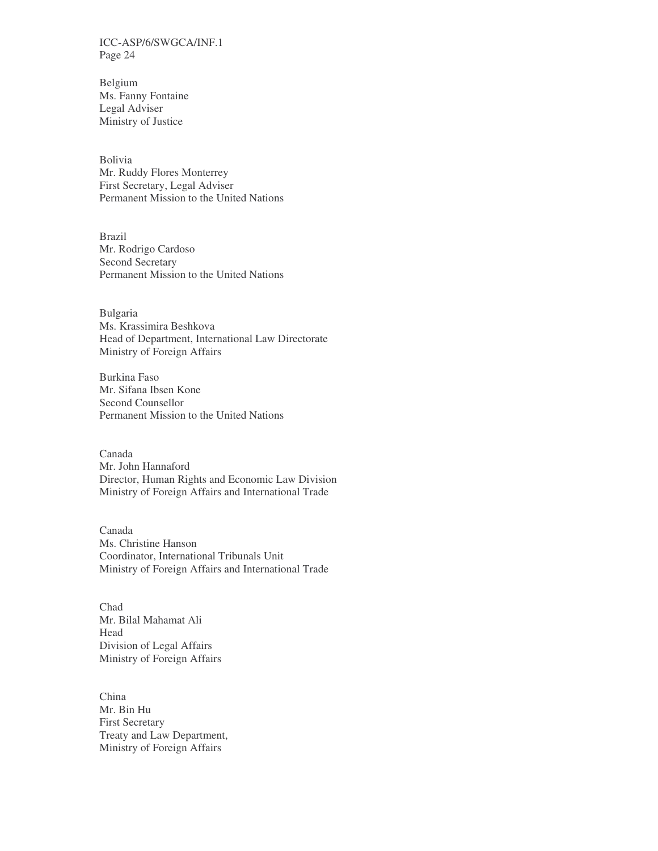Belgium Ms. Fanny Fontaine Legal Adviser Ministry of Justice

Bolivia Mr. Ruddy Flores Monterrey First Secretary, Legal Adviser Permanent Mission to the United Nations

Brazil Mr. Rodrigo Cardoso Second Secretary Permanent Mission to the United Nations

Bulgaria Ms. Krassimira Beshkova Head of Department, International Law Directorate Ministry of Foreign Affairs

Burkina Faso Mr. Sifana Ibsen Kone Second Counsellor Permanent Mission to the United Nations

Canada Mr. John Hannaford Director, Human Rights and Economic Law Division Ministry of Foreign Affairs and International Trade

Canada Ms. Christine Hanson Coordinator, International Tribunals Unit Ministry of Foreign Affairs and International Trade

Chad Mr. Bilal Mahamat Ali Head Division of Legal Affairs Ministry of Foreign Affairs

China Mr. Bin Hu First Secretary Treaty and Law Department, Ministry of Foreign Affairs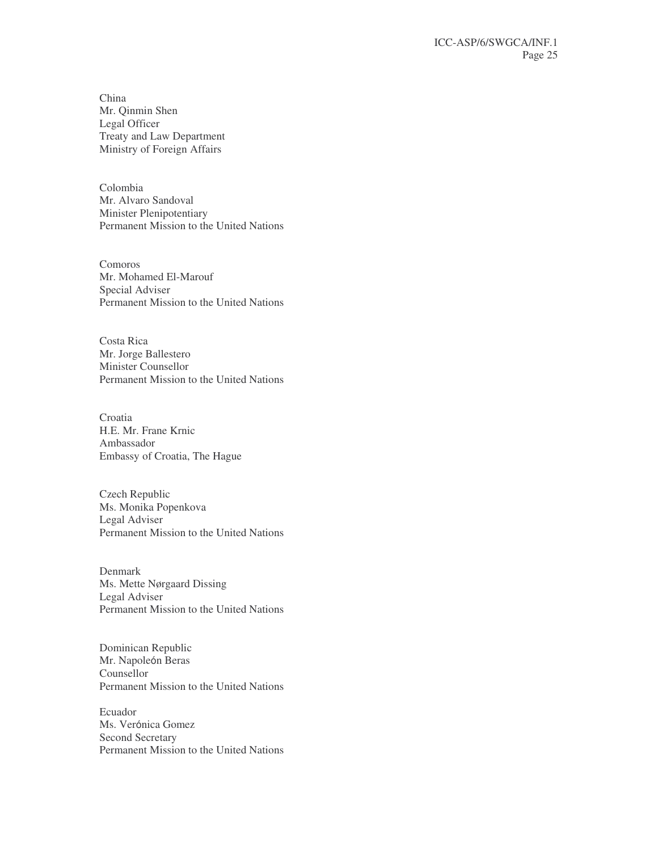China Mr. Qinmin Shen Legal Officer Treaty and Law Department Ministry of Foreign Affairs

Colombia Mr. Alvaro Sandoval Minister Plenipotentiary Permanent Mission to the United Nations

Comoros Mr. Mohamed El-Marouf Special Adviser Permanent Mission to the United Nations

Costa Rica Mr. Jorge Ballestero Minister Counsellor Permanent Mission to the United Nations

Croatia H.E. Mr. Frane Krnic Ambassador Embassy of Croatia, The Hague

Czech Republic Ms. Monika Popenkova Legal Adviser Permanent Mission to the United Nations

Denmark Ms. Mette Nørgaard Dissing Legal Adviser Permanent Mission to the United Nations

Dominican Republic Mr. Napoleón Beras Counsellor Permanent Mission to the United Nations

Ecuador Ms. Verónica Gomez Second Secretary Permanent Mission to the United Nations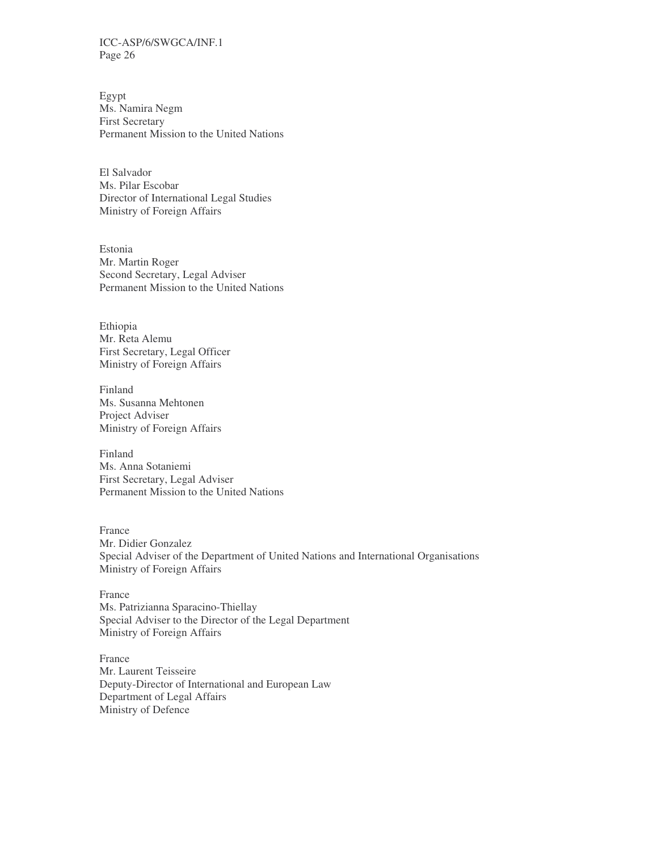Egypt Ms. Namira Negm First Secretary Permanent Mission to the United Nations

El Salvador Ms. Pilar Escobar Director of International Legal Studies Ministry of Foreign Affairs

Estonia Mr. Martin Roger Second Secretary, Legal Adviser Permanent Mission to the United Nations

Ethiopia Mr. Reta Alemu First Secretary, Legal Officer Ministry of Foreign Affairs

Finland Ms. Susanna Mehtonen Project Adviser Ministry of Foreign Affairs

Finland Ms. Anna Sotaniemi First Secretary, Legal Adviser Permanent Mission to the United Nations

France Mr. Didier Gonzalez Special Adviser of the Department of United Nations and International Organisations Ministry of Foreign Affairs

France Ms. Patrizianna Sparacino-Thiellay Special Adviser to the Director of the Legal Department Ministry of Foreign Affairs

France Mr. Laurent Teisseire Deputy-Director of International and European Law Department of Legal Affairs Ministry of Defence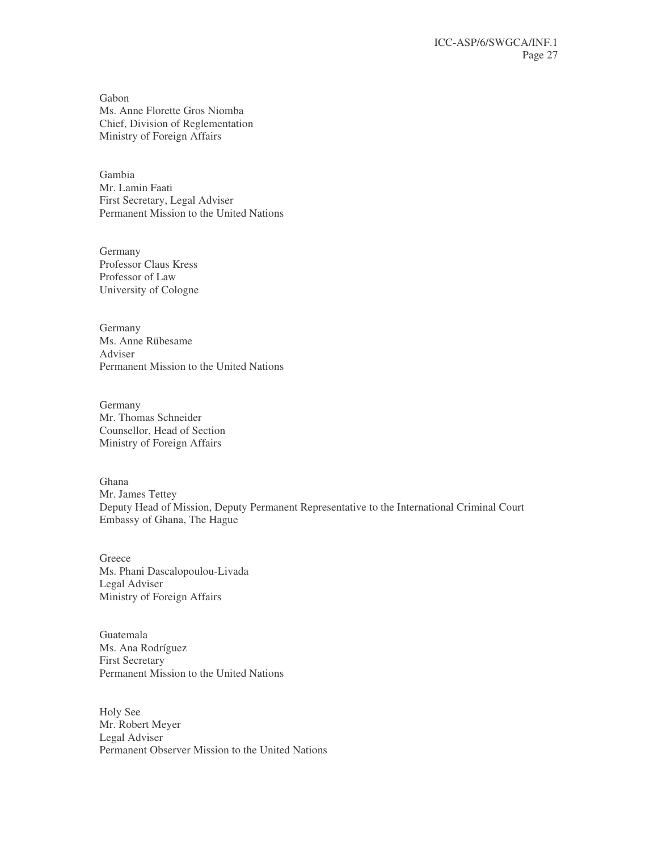Gabon Ms. Anne Florette Gros Niomba Chief, Division of Reglementation Ministry of Foreign Affairs

Gambia Mr. Lamin Faati First Secretary, Legal Adviser Permanent Mission to the United Nations

Germany Professor Claus Kress Professor of Law University of Cologne

Germany Ms. Anne Rübesame Adviser Permanent Mission to the United Nations

Germany Mr. Thomas Schneider Counsellor, Head of Section Ministry of Foreign Affairs

Ghana Mr. James Tettey Deputy Head of Mission, Deputy Permanent Representative to the International Criminal Court Embassy of Ghana, The Hague

**Greece** Ms. Phani Dascalopoulou-Livada Legal Adviser Ministry of Foreign Affairs

Guatemala Ms. Ana Rodríguez First Secretary Permanent Mission to the United Nations

Holy See Mr. Robert Meyer Legal Adviser Permanent Observer Mission to the United Nations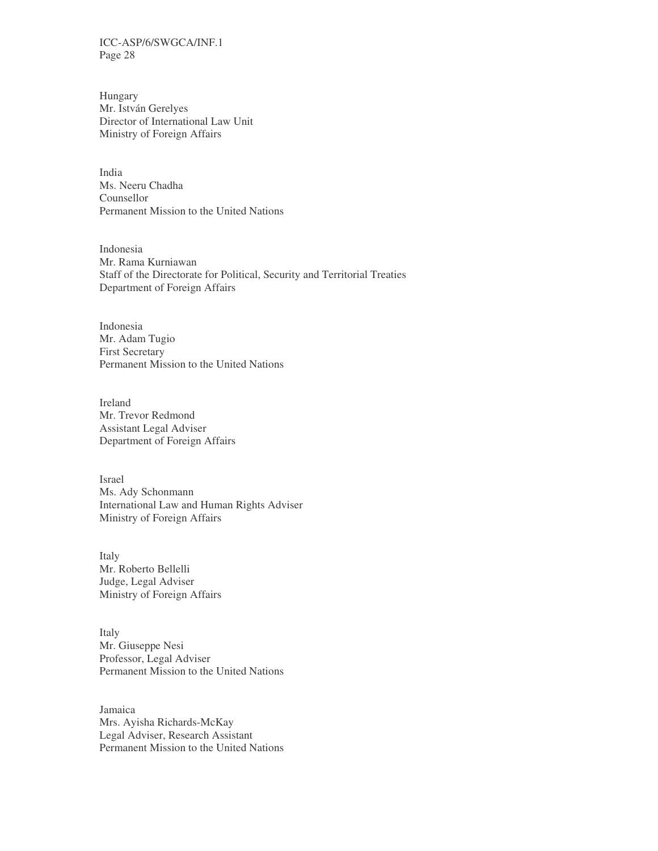Hungary Mr. István Gerelyes Director of International Law Unit Ministry of Foreign Affairs

India Ms. Neeru Chadha Counsellor Permanent Mission to the United Nations

Indonesia Mr. Rama Kurniawan Staff of the Directorate for Political, Security and Territorial Treaties Department of Foreign Affairs

Indonesia Mr. Adam Tugio First Secretary Permanent Mission to the United Nations

Ireland Mr. Trevor Redmond Assistant Legal Adviser Department of Foreign Affairs

Israel Ms. Ady Schonmann International Law and Human Rights Adviser Ministry of Foreign Affairs

Italy Mr. Roberto Bellelli Judge, Legal Adviser Ministry of Foreign Affairs

Italy Mr. Giuseppe Nesi Professor, Legal Adviser Permanent Mission to the United Nations

Jamaica Mrs. Ayisha Richards-McKay Legal Adviser, Research Assistant Permanent Mission to the United Nations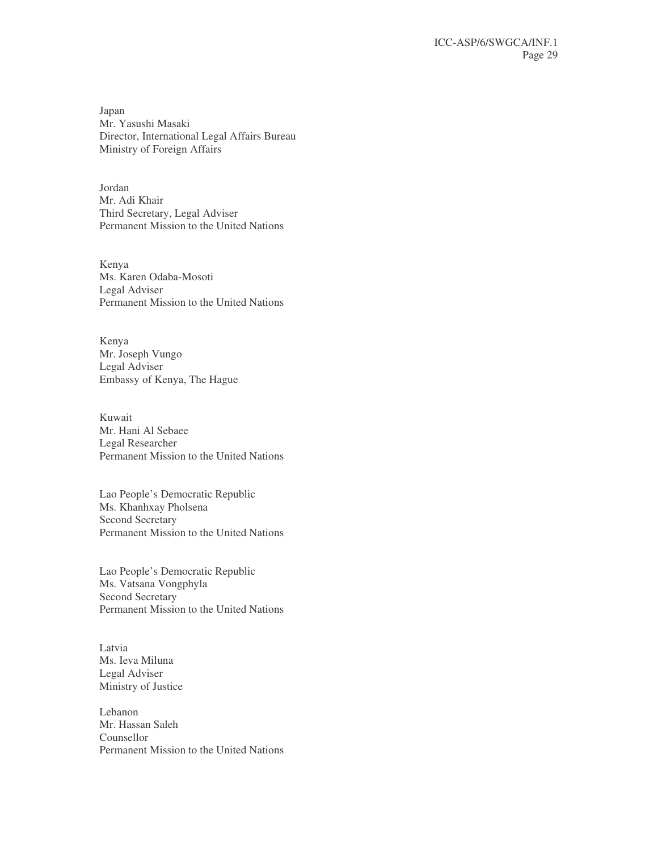Japan Mr. Yasushi Masaki Director, International Legal Affairs Bureau Ministry of Foreign Affairs

Jordan Mr. Adi Khair Third Secretary, Legal Adviser Permanent Mission to the United Nations

Kenya Ms. Karen Odaba-Mosoti Legal Adviser Permanent Mission to the United Nations

Kenya Mr. Joseph Vungo Legal Adviser Embassy of Kenya, The Hague

Kuwait Mr. Hani Al Sebaee Legal Researcher Permanent Mission to the United Nations

Lao People's Democratic Republic Ms. Khanhxay Pholsena Second Secretary Permanent Mission to the United Nations

Lao People's Democratic Republic Ms. Vatsana Vongphyla Second Secretary Permanent Mission to the United Nations

Latvia Ms. Ieva Miluna Legal Adviser Ministry of Justice

Lebanon Mr. Hassan Saleh Counsellor Permanent Mission to the United Nations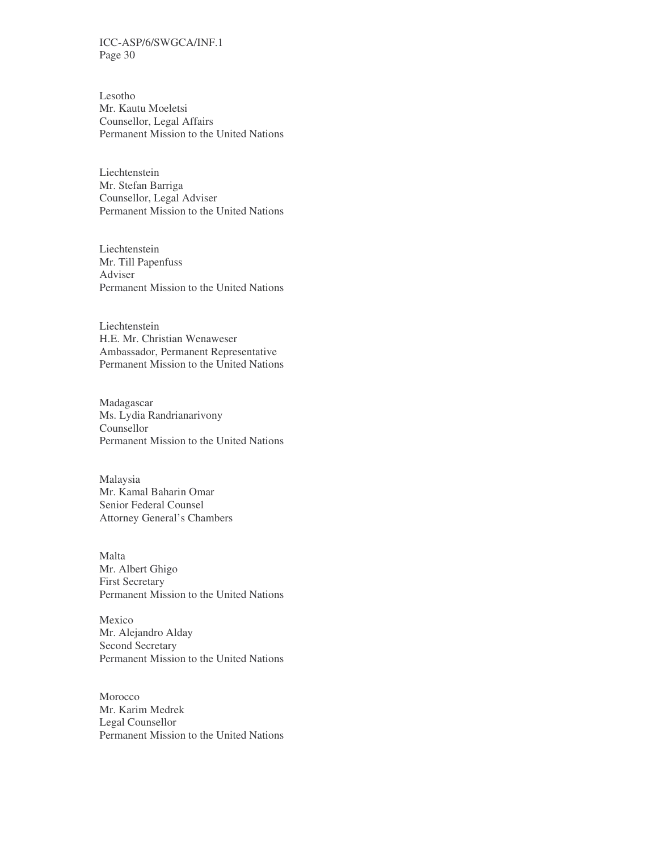Lesotho Mr. Kautu Moeletsi Counsellor, Legal Affairs Permanent Mission to the United Nations

Liechtenstein Mr. Stefan Barriga Counsellor, Legal Adviser Permanent Mission to the United Nations

Liechtenstein Mr. Till Papenfuss Adviser Permanent Mission to the United Nations

Liechtenstein H.E. Mr. Christian Wenaweser Ambassador, Permanent Representative Permanent Mission to the United Nations

Madagascar Ms. Lydia Randrianarivony Counsellor Permanent Mission to the United Nations

Malaysia Mr. Kamal Baharin Omar Senior Federal Counsel Attorney General's Chambers

Malta Mr. Albert Ghigo First Secretary Permanent Mission to the United Nations

Mexico Mr. Alejandro Alday Second Secretary Permanent Mission to the United Nations

Morocco Mr. Karim Medrek Legal Counsellor Permanent Mission to the United Nations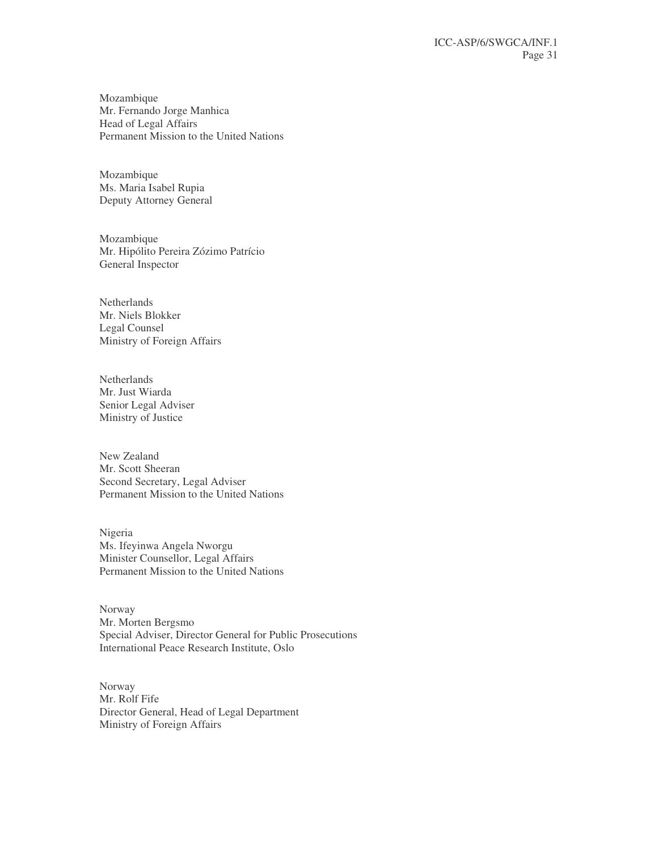Mozambique Mr. Fernando Jorge Manhica Head of Legal Affairs Permanent Mission to the United Nations

Mozambique Ms. Maria Isabel Rupia Deputy Attorney General

Mozambique Mr. Hipólito Pereira Zózimo Patrício General Inspector

Netherlands Mr. Niels Blokker Legal Counsel Ministry of Foreign Affairs

Netherlands Mr. Just Wiarda Senior Legal Adviser Ministry of Justice

New Zealand Mr. Scott Sheeran Second Secretary, Legal Adviser Permanent Mission to the United Nations

Nigeria Ms. Ifeyinwa Angela Nworgu Minister Counsellor, Legal Affairs Permanent Mission to the United Nations

Norway Mr. Morten Bergsmo Special Adviser, Director General for Public Prosecutions International Peace Research Institute, Oslo

Norway Mr. Rolf Fife Director General, Head of Legal Department Ministry of Foreign Affairs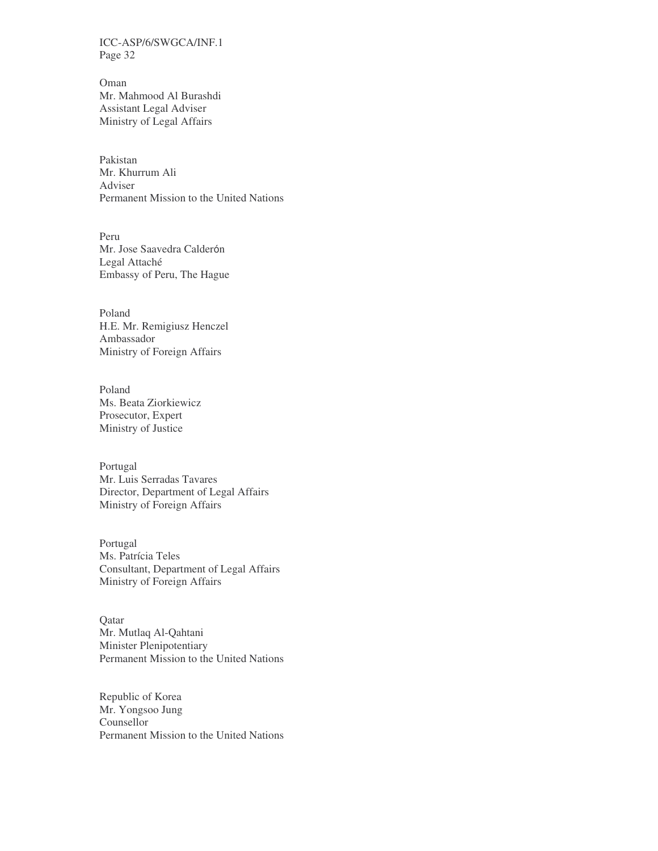Oman Mr. Mahmood Al Burashdi Assistant Legal Adviser Ministry of Legal Affairs

Pakistan Mr. Khurrum Ali Adviser Permanent Mission to the United Nations

Peru Mr. Jose Saavedra Calderón Legal Attaché Embassy of Peru, The Hague

Poland H.E. Mr. Remigiusz Henczel Ambassador Ministry of Foreign Affairs

Poland Ms. Beata Ziorkiewicz Prosecutor, Expert Ministry of Justice

Portugal Mr. Luis Serradas Tavares Director, Department of Legal Affairs Ministry of Foreign Affairs

Portugal Ms. Patrícia Teles Consultant, Department of Legal Affairs Ministry of Foreign Affairs

Qatar Mr. Mutlaq Al-Qahtani Minister Plenipotentiary Permanent Mission to the United Nations

Republic of Korea Mr. Yongsoo Jung Counsellor Permanent Mission to the United Nations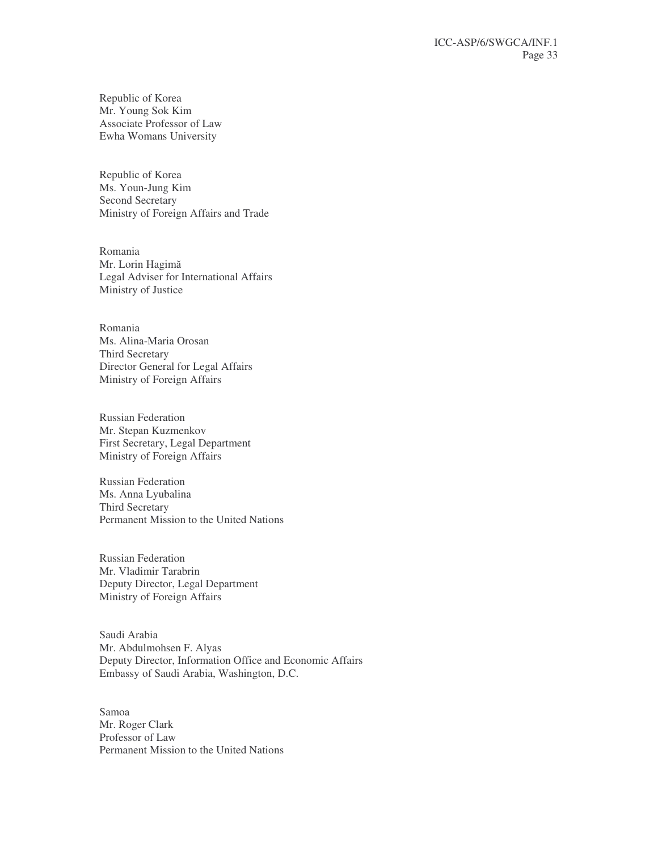Republic of Korea Mr. Young Sok Kim Associate Professor of Law Ewha Womans University

Republic of Korea Ms. Youn-Jung Kim Second Secretary Ministry of Foreign Affairs and Trade

Romania Mr. Lorin Hagim Legal Adviser for International Affairs Ministry of Justice

Romania Ms. Alina-Maria Orosan Third Secretary Director General for Legal Affairs Ministry of Foreign Affairs

Russian Federation Mr. Stepan Kuzmenkov First Secretary, Legal Department Ministry of Foreign Affairs

Russian Federation Ms. Anna Lyubalina Third Secretary Permanent Mission to the United Nations

Russian Federation Mr. Vladimir Tarabrin Deputy Director, Legal Department Ministry of Foreign Affairs

Saudi Arabia Mr. Abdulmohsen F. Alyas Deputy Director, Information Office and Economic Affairs Embassy of Saudi Arabia, Washington, D.C.

Samoa Mr. Roger Clark Professor of Law Permanent Mission to the United Nations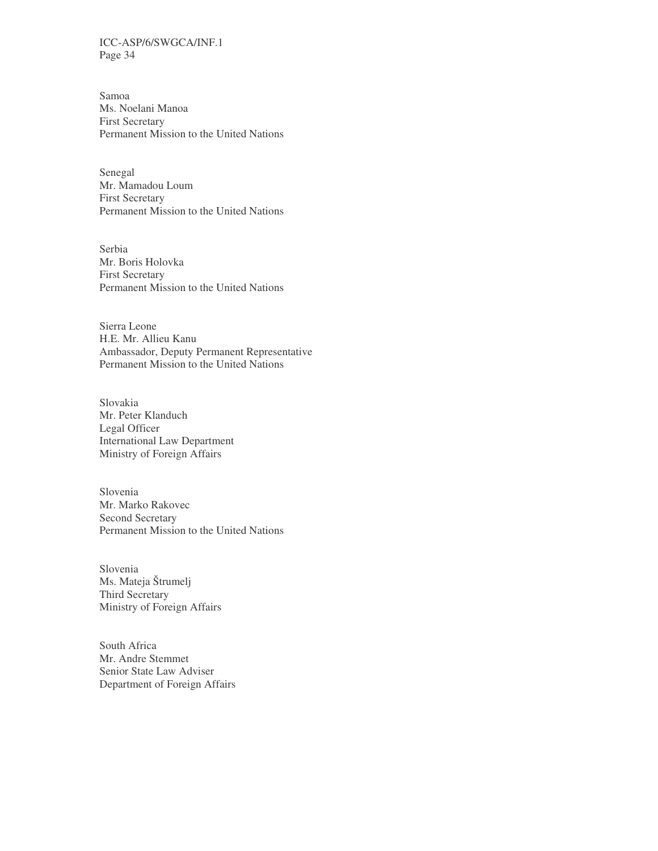Samoa Ms. Noelani Manoa First Secretary Permanent Mission to the United Nations

Senegal Mr. Mamadou Loum First Secretary Permanent Mission to the United Nations

Serbia Mr. Boris Holovka First Secretary Permanent Mission to the United Nations

Sierra Leone H.E. Mr. Allieu Kanu Ambassador, Deputy Permanent Representative Permanent Mission to the United Nations

Slovakia Mr. Peter Klanduch Legal Officer International Law Department Ministry of Foreign Affairs

Slovenia Mr. Marko Rakovec Second Secretary Permanent Mission to the United Nations

Slovenia Ms. Mateja Štrumelj Third Secretary Ministry of Foreign Affairs

South Africa Mr. Andre Stemmet Senior State Law Adviser Department of Foreign Affairs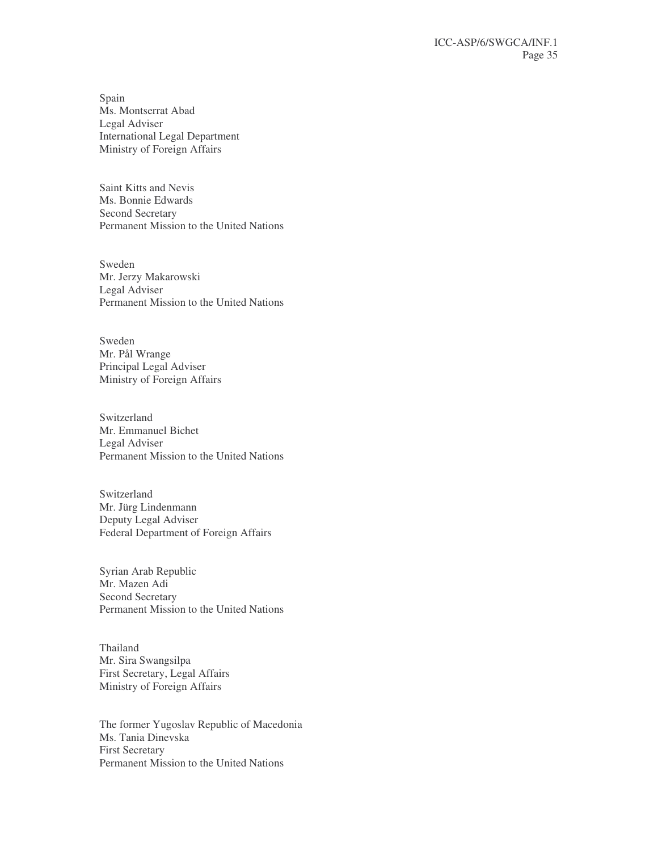Spain Ms. Montserrat Abad Legal Adviser International Legal Department Ministry of Foreign Affairs

Saint Kitts and Nevis Ms. Bonnie Edwards Second Secretary Permanent Mission to the United Nations

Sweden Mr. Jerzy Makarowski Legal Adviser Permanent Mission to the United Nations

Sweden Mr. Pål Wrange Principal Legal Adviser Ministry of Foreign Affairs

Switzerland Mr. Emmanuel Bichet Legal Adviser Permanent Mission to the United Nations

Switzerland Mr. Jürg Lindenmann Deputy Legal Adviser Federal Department of Foreign Affairs

Syrian Arab Republic Mr. Mazen Adi Second Secretary Permanent Mission to the United Nations

Thailand Mr. Sira Swangsilpa First Secretary, Legal Affairs Ministry of Foreign Affairs

The former Yugoslav Republic of Macedonia Ms. Tania Dinevska First Secretary Permanent Mission to the United Nations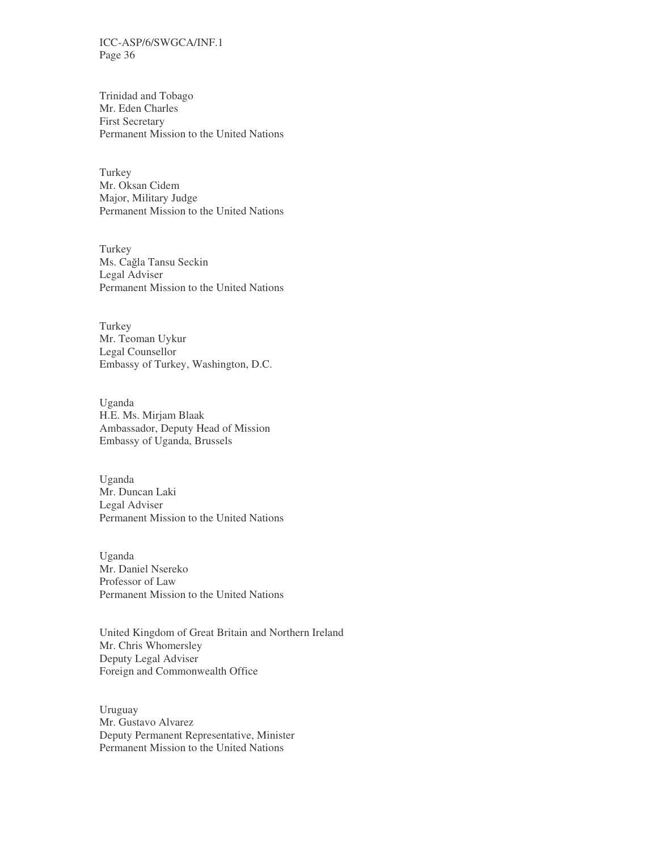Trinidad and Tobago Mr. Eden Charles First Secretary Permanent Mission to the United Nations

Turkey Mr. Oksan Cidem Major, Military Judge Permanent Mission to the United Nations

Turkey Ms. Cağla Tansu Seckin Legal Adviser Permanent Mission to the United Nations

Turkey Mr. Teoman Uykur Legal Counsellor Embassy of Turkey, Washington, D.C.

Uganda H.E. Ms. Mirjam Blaak Ambassador, Deputy Head of Mission Embassy of Uganda, Brussels

Uganda Mr. Duncan Laki Legal Adviser Permanent Mission to the United Nations

Uganda Mr. Daniel Nsereko Professor of Law Permanent Mission to the United Nations

United Kingdom of Great Britain and Northern Ireland Mr. Chris Whomersley Deputy Legal Adviser Foreign and Commonwealth Office

Uruguay Mr. Gustavo Alvarez Deputy Permanent Representative, Minister Permanent Mission to the United Nations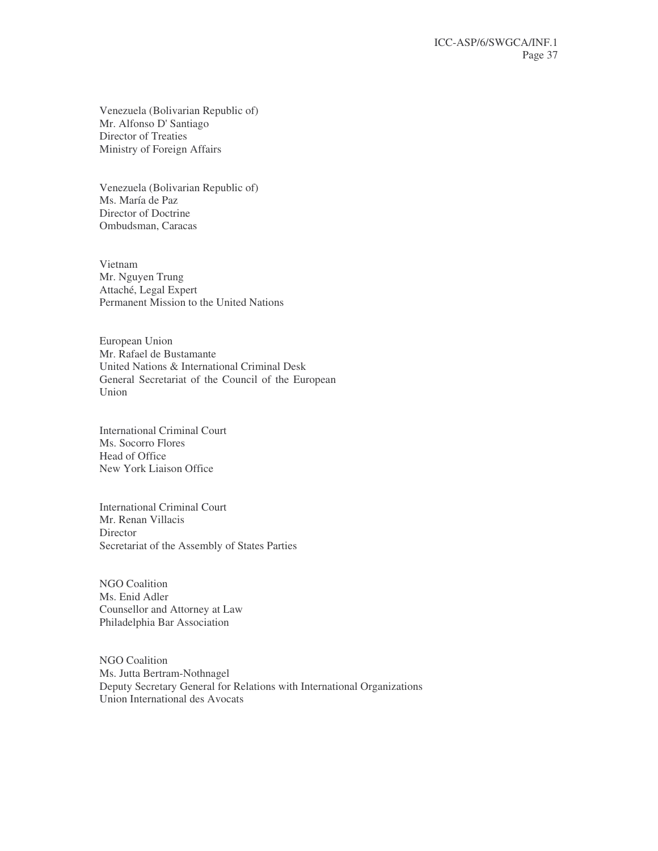Venezuela (Bolivarian Republic of) Mr. Alfonso D'Santiago Director of Treaties Ministry of Foreign Affairs

Venezuela (Bolivarian Republic of) Ms. María de Paz Director of Doctrine Ombudsman, Caracas

Vietnam Mr. Nguyen Trung Attaché, Legal Expert Permanent Mission to the United Nations

European Union Mr. Rafael de Bustamante United Nations & International Criminal Desk General Secretariat of the Council of the European Union

International Criminal Court Ms. Socorro Flores Head of Office New York Liaison Office

International Criminal Court Mr. Renan Villacis Director Secretariat of the Assembly of States Parties

NGO Coalition Ms. Enid Adler Counsellor and Attorney at Law Philadelphia Bar Association

NGO Coalition Ms. Jutta Bertram-Nothnagel Deputy Secretary General for Relations with International Organizations Union International des Avocats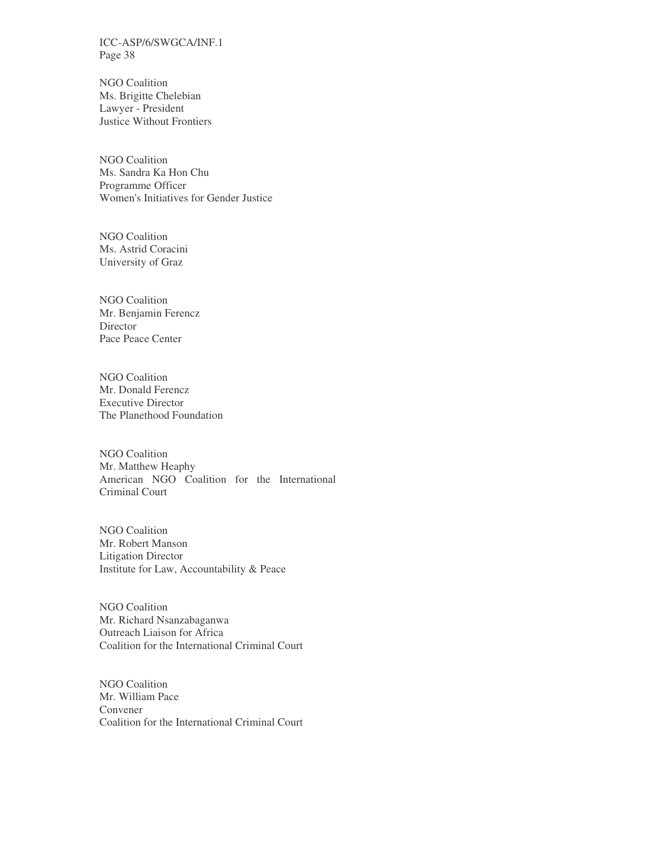NGO Coalition Ms. Brigitte Chelebian Lawyer - President Justice Without Frontiers

NGO Coalition Ms. Sandra Ka Hon Chu Programme Officer Women's Initiatives for Gender Justice

NGO Coalition Ms. Astrid Coracini University of Graz

NGO Coalition Mr. Benjamin Ferencz Director Pace Peace Center

NGO Coalition Mr. Donald Ferencz Executive Director The Planethood Foundation

NGO Coalition Mr. Matthew Heaphy American NGO Coalition for the International Criminal Court

NGO Coalition Mr. Robert Manson Litigation Director Institute for Law, Accountability & Peace

NGO Coalition Mr. Richard Nsanzabaganwa Outreach Liaison for Africa Coalition for the International Criminal Court

NGO Coalition Mr. William Pace Convener Coalition for the International Criminal Court